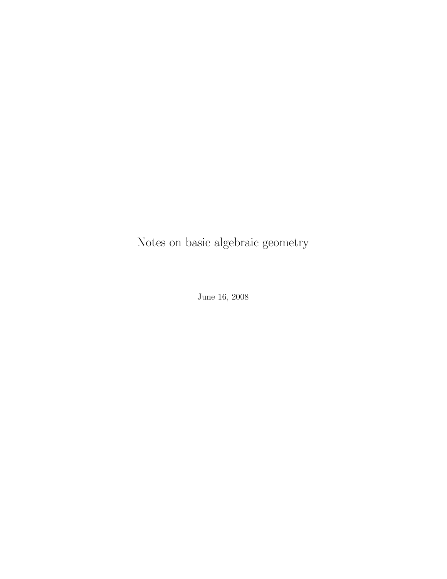Notes on basic algebraic geometry

June 16, 2008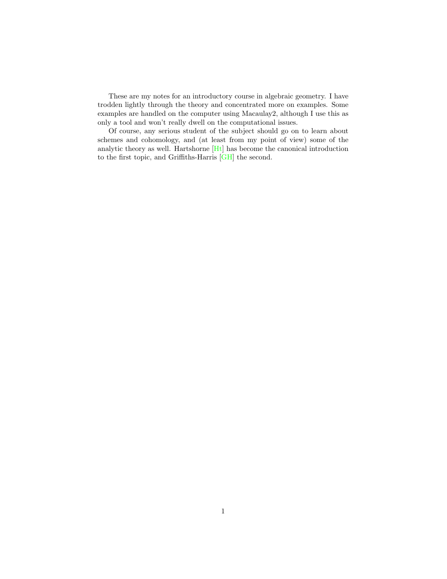These are my notes for an introductory course in algebraic geometry. I have trodden lightly through the theory and concentrated more on examples. Some examples are handled on the computer using Macaulay2, although I use this as only a tool and won't really dwell on the computational issues.

Of course, any serious student of the subject should go on to learn about schemes and cohomology, and (at least from my point of view) some of the analytic theory as well. Hartshorne [\[Ht\]](#page-40-0) has become the canonical introduction to the first topic, and Griffiths-Harris [\[GH\]](#page-40-1) the second.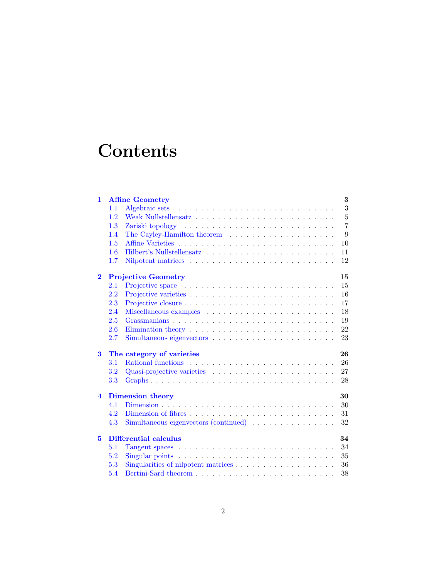# **Contents**

| $\mathbf{1}$            | 3<br><b>Affine Geometry</b>        |                                                                                         |                |
|-------------------------|------------------------------------|-----------------------------------------------------------------------------------------|----------------|
|                         | 1.1                                |                                                                                         | 3              |
|                         | 1.2                                |                                                                                         | $\overline{5}$ |
|                         | 1.3                                |                                                                                         | $\overline{7}$ |
|                         | 1.4                                |                                                                                         | 9              |
|                         | 1.5                                |                                                                                         | 10             |
|                         | 1.6                                |                                                                                         | 11             |
|                         | 1.7                                |                                                                                         | 12             |
| $\bf{2}$                | <b>Projective Geometry</b><br>15   |                                                                                         |                |
|                         | 2.1                                |                                                                                         | 15             |
|                         | 2.2                                |                                                                                         | 16             |
|                         | 2.3                                |                                                                                         | 17             |
|                         | 2.4                                |                                                                                         | 18             |
|                         | 2.5                                |                                                                                         | 19             |
|                         | 2.6                                |                                                                                         | 22             |
|                         | 2.7                                |                                                                                         | 23             |
| 3                       | The category of varieties<br>26    |                                                                                         |                |
|                         | 3.1                                |                                                                                         | 26             |
|                         | 3.2                                |                                                                                         | 27             |
|                         | 3.3                                |                                                                                         | 28             |
| $\overline{\mathbf{4}}$ | 30<br><b>Dimension theory</b>      |                                                                                         |                |
|                         | 4.1                                |                                                                                         | 30             |
|                         | 4.2                                |                                                                                         | 31             |
|                         | 4.3                                | Simultaneous eigenvectors (continued) $\ldots \ldots \ldots \ldots$                     | 32             |
| 5                       | <b>Differential calculus</b><br>34 |                                                                                         |                |
|                         | 5.1                                |                                                                                         | 34             |
|                         | 5.2                                | Singular points $\ldots \ldots \ldots \ldots \ldots \ldots \ldots \ldots \ldots \ldots$ | 35             |
|                         | 5.3                                |                                                                                         | 36             |
|                         | 5.4                                |                                                                                         | 38             |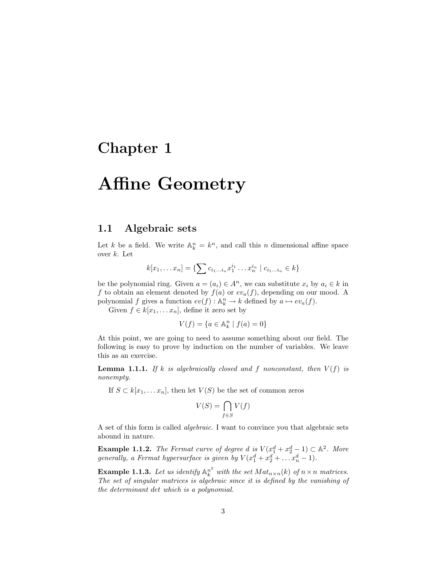## <span id="page-3-0"></span>Chapter 1

# Affine Geometry

### <span id="page-3-1"></span>1.1 Algebraic sets

Let k be a field. We write  $\mathbb{A}_k^n = k^n$ , and call this n dimensional affine space over k. Let

$$
k[x_1,... x_n] = \{ \sum c_{i_1...i_n} x_1^{i_1} ... x_n^{i_n} \mid c_{i_1...i_n} \in k \}
$$

be the polynomial ring. Given  $a = (a_i) \in A^n$ , we can substitute  $x_i$  by  $a_i \in k$  in f to obtain an element denoted by  $f(a)$  or  $ev_a(f)$ , depending on our mood. A polynomial f gives a function  $ev(f)$ :  $\mathbb{A}_k^n \to k$  defined by  $a \mapsto ev_a(f)$ .

Given  $f \in k[x_1, \ldots x_n]$ , define it zero set by

$$
V(f) = \{ a \in \mathbb{A}^n_k \mid f(a) = 0 \}
$$

At this point, we are going to need to assume something about our field. The following is easy to prove by induction on the number of variables. We leave this as an exercise.

**Lemma 1.1.1.** If k is algebraically closed and f nonconstant, then  $V(f)$  is nonempty.

If  $S \subset k[x_1, \ldots x_n]$ , then let  $V(S)$  be the set of common zeros

$$
V(S) = \bigcap_{f \in S} V(f)
$$

A set of this form is called algebraic. I want to convince you that algebraic sets abound in nature.

**Example 1.1.2.** The Fermat curve of degree d is  $V(x_1^d + x_2^d - 1) \subset \mathbb{A}^2$ . More generally, a Fermat hypersurface is given by  $V(x_1^d + x_2^d + \dots x_n^d - 1)$ .

**Example 1.1.3.** Let us identify  $\mathbb{A}_k^{n^2}$  with the set  $Mat_{n \times n}(k)$  of  $n \times n$  matrices. The set of singular matrices is algebraic since it is defined by the vanishing of the determinant det which is a polynomial.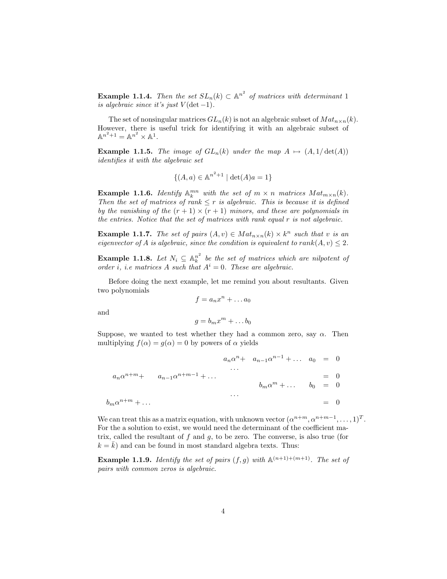**Example 1.1.4.** Then the set  $SL_n(k) \subset \mathbb{A}^{n^2}$  of matrices with determinant 1 is algebraic since it's just  $V(\det-1)$ .

The set of nonsingular matrices  $GL_n(k)$  is not an algebraic subset of  $Mat_{n\times n}(k)$ . However, there is useful trick for identifying it with an algebraic subset of  $\mathbb{A}^{n^2+1} = \mathbb{A}^{n^2} \times \mathbb{A}^1.$ 

**Example 1.1.5.** The image of  $GL_n(k)$  under the map  $A \mapsto (A, 1/\det(A))$ identifies it with the algebraic set

$$
\{(A, a) \in \mathbb{A}^{n^2+1} \mid \det(A)a = 1\}
$$

**Example 1.1.6.** Identify  $\mathbb{A}_k^{mn}$  with the set of  $m \times n$  matrices  $Mat_{m \times n}(k)$ . Then the set of matrices of rank  $\leq r$  is algebraic. This is because it is defined by the vanishing of the  $(r + 1) \times (r + 1)$  minors, and these are polynomials in the entries. Notice that the set of matrices with rank equal r is not algebraic.

**Example 1.1.7.** The set of pairs  $(A, v) \in Mat_{n \times n}(k) \times k^n$  such that v is an eigenvector of A is algebraic, since the condition is equivalent to rank $(A, v) \leq 2$ .

**Example 1.1.8.** Let  $N_i \subseteq \mathbb{A}_k^{n^2}$  be the set of matrices which are nilpotent of order i, i.e matrices A such that  $A^i = 0$ . These are algebraic.

Before doing the next example, let me remind you about resultants. Given two polynomials

$$
f = a_n x^n + \dots a_0
$$

and

$$
g=b_mx^m+\ldots b_0
$$

Suppose, we wanted to test whether they had a common zero, say  $\alpha$ . Then multiplying  $f(\alpha) = g(\alpha) = 0$  by powers of  $\alpha$  yields

$$
a_n \alpha^n + a_{n-1} \alpha^{n-1} + \dots \quad a_0 = 0
$$
  
\n
$$
a_n \alpha^{n+m} + a_{n-1} \alpha^{n+m-1} + \dots
$$
  
\n
$$
\vdots
$$
  
\n
$$
b_m \alpha^m + \dots \quad b_0 = 0
$$
  
\n
$$
\vdots
$$
  
\n
$$
= 0
$$
  
\n
$$
\vdots
$$
  
\n
$$
= 0
$$
  
\n
$$
\vdots
$$
  
\n
$$
= 0
$$
  
\n
$$
\vdots
$$
  
\n
$$
= 0
$$
  
\n
$$
\vdots
$$
  
\n
$$
= 0
$$
  
\n
$$
= 0
$$

We can treat this as a matrix equation, with unknown vector  $(\alpha^{n+m}, \alpha^{n+m-1}, \ldots, 1)^T$ . For the a solution to exist, we would need the determinant of the coefficient matrix, called the resultant of  $f$  and  $g$ , to be zero. The converse, is also true (for  $k = \overline{k}$ ) and can be found in most standard algebra texts. Thus:

**Example 1.1.9.** Identify the set of pairs  $(f, g)$  with  $\mathbb{A}^{(n+1)+(m+1)}$ . The set of pairs with common zeros is algebraic.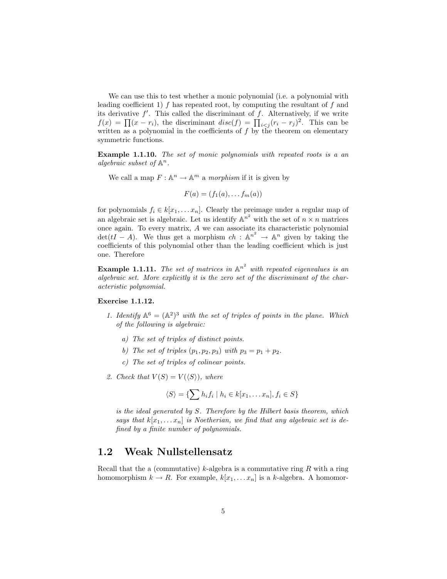We can use this to test whether a monic polynomial (i.e. a polynomial with leading coefficient 1)  $f$  has repeated root, by computing the resultant of  $f$  and its derivative  $f'$ . This called the discriminant of  $f$ . Alternatively, if we write  $f(x) = \prod (x - r_i)$ , the discriminant  $disc(f) = \prod_{i < j} (r_i - r_j)^2$ . This can be written as a polynomial in the coefficients of  $f$  by the theorem on elementary symmetric functions.

Example 1.1.10. The set of monic polynomials with repeated roots is a an algebraic subset of  $\mathbb{A}^n$ .

We call a map  $F: \mathbb{A}^n \to \mathbb{A}^m$  a *morphism* if it is given by

$$
F(a) = (f_1(a), \ldots, f_m(a))
$$

for polynomials  $f_i \in k[x_1, \ldots x_n]$ . Clearly the preimage under a regular map of an algebraic set is algebraic. Let us identify  $\mathbb{A}^{n^2}$  with the set of  $n \times n$  matrices once again. To every matrix, A we can associate its characteristic polynomial  $\det(tI - A)$ . We thus get a morphism  $ch : \mathbb{A}^{n^2} \to \mathbb{A}^n$  given by taking the coefficients of this polynomial other than the leading coefficient which is just one. Therefore

<span id="page-5-1"></span>**Example 1.1.11.** The set of matrices in  $\mathbb{A}^{n^2}$  with repeated eigenvalues is an algebraic set. More explicitly it is the zero set of the discriminant of the characteristic polynomial.

#### Exercise 1.1.12.

- 1. Identify  $\mathbb{A}^6 = (\mathbb{A}^2)^3$  with the set of triples of points in the plane. Which of the following is algebraic:
	- a) The set of triples of distinct points.
	- b) The set of triples  $(p_1, p_2, p_3)$  with  $p_3 = p_1 + p_2$ .
	- c) The set of triples of colinear points.
- 2. Check that  $V(S) = V(\langle S \rangle)$ , where

$$
\langle S \rangle = \{ \sum h_i f_i \mid h_i \in k[x_1, \dots x_n], f_i \in S \}
$$

is the ideal generated by S. Therefore by the Hilbert basis theorem, which says that  $k[x_1, \ldots x_n]$  is Noetherian, we find that any algebraic set is defined by a finite number of polynomials.

### <span id="page-5-0"></span>1.2 Weak Nullstellensatz

Recall that the a (commutative)  $k$ -algebra is a commutative ring  $R$  with a ring homomorphism  $k \to R$ . For example,  $k[x_1, \ldots x_n]$  is a k-algebra. A homomor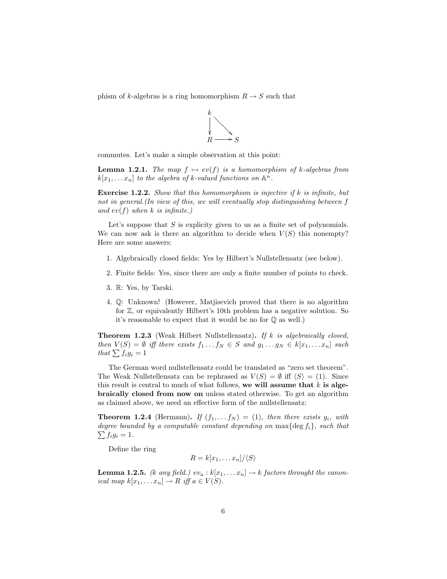phism of k-algebras is a ring homomorphism  $R \to S$  such that



commutes. Let's make a simple observation at this point:

**Lemma 1.2.1.** The map  $f \mapsto ev(f)$  is a homomorphism of k-algebras from  $k[x_1, \ldots x_n]$  to the algebra of k-valued functions on  $\mathbb{A}^n$ .

Exercise 1.2.2. Show that this homomorphism is injective if k is infinite, but not in general.(In view of this, we will eventually stop distinguishing between f and  $ev(f)$  when k is infinite.)

Let's suppose that  $S$  is explicity given to us as a finite set of polynomials. We can now ask is there an algorithm to decide when  $V(S)$  this nonempty? Here are some answers:

- 1. Algebraically closed fields: Yes by Hilbert's Nullstellensatz (see below).
- 2. Finite fields: Yes, since there are only a finite number of points to check.
- 3. R: Yes, by Tarski.
- 4. Q: Unknown! (However, Matjisevich proved that there is no algorithm for Z, or equivalently Hilbert's 10th problem has a negative solution. So it's reasonable to expect that it would be no for Q as well.)

**Theorem 1.2.3** (Weak Hilbert Nullstellensatz). If k is algebraically closed, then  $V(S) = \emptyset$  iff there exists  $f_1 \dots f_N \in S$  and  $g_1 \dots g_N \in k[x_1, \dots x_n]$  such that  $\sum f_i g_i = 1$ 

The German word nullstellensatz could be translated as "zero set theorem". The Weak Nullstellensatz can be rephrased as  $V(S) = \emptyset$  iff  $\langle S \rangle = (1)$ . Since this result is central to much of what follows, we will assume that  $k$  is algebraically closed from now on unless stated otherwise. To get an algorithm as claimed above, we need an effective form of the nullstellensatz:

**Theorem 1.2.4** (Hermann). If  $(f_1, \ldots, f_N) = (1)$ , then there exists  $g_i$ , with degree bounded by a computable constant depending on  $\max\{\deg f_i\}$ , such that  $\sum f_i g_i = 1.$ 

Define the ring

 $R = k[x_1, \ldots x_n]/\langle S \rangle$ 

**Lemma 1.2.5.** (k any field.)  $ev_a : k[x_1, \ldots x_n] \to k$  factors throught the canonical map  $k[x_1, \ldots x_n] \to R$  iff  $a \in V(S)$ .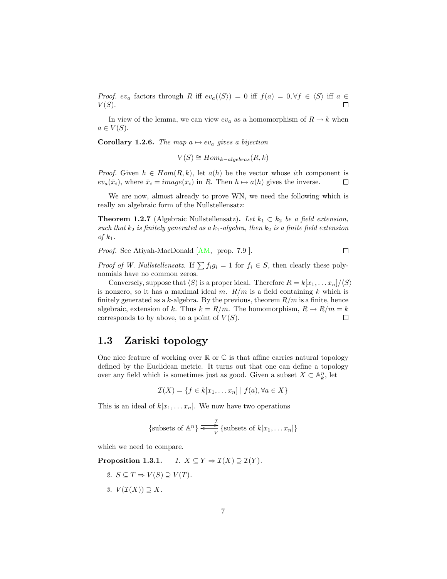*Proof.* ev<sub>a</sub> factors through R iff  $ev_a(\langle S \rangle) = 0$  iff  $f(a) = 0, \forall f \in \langle S \rangle$  iff  $a \in$  $V(S)$ .  $\Box$ 

In view of the lemma, we can view  $ev_a$  as a homomorphism of  $R \to k$  when  $a \in V(S)$ .

<span id="page-7-2"></span>**Corollary 1.2.6.** The map  $a \mapsto ev_a$  gives a bijection

$$
V(S) \cong Hom_{k-algebras}(R, k)
$$

*Proof.* Given  $h \in Hom(R, k)$ , let  $a(h)$  be the vector whose ith component is  $ev_a(\bar{x}_i)$ , where  $\bar{x}_i = image(x_i)$  in R. Then  $h \mapsto a(h)$  gives the inverse.  $\Box$ 

We are now, almost already to prove WN, we need the following which is really an algebraic form of the Nullstellensatz:

**Theorem 1.2.7** (Algebraic Nullstellensatz). Let  $k_1 \,\subset k_2$  be a field extension, such that  $k_2$  is finitely generated as a  $k_1$ -algebra, then  $k_2$  is a finite field extension of  $k_1$ .

Proof. See Atiyah-MacDonald [\[AM,](#page-40-2) prop. 7.9].  $\Box$ 

*Proof of W. Nullstellensatz.* If  $\sum f_i g_i = 1$  for  $f_i \in S$ , then clearly these polynomials have no common zeros.

Conversely, suppose that  $\langle S \rangle$  is a proper ideal. Therefore  $R = k[x_1, \ldots x_n]/\langle S \rangle$ is nonzero, so it has a maximal ideal m.  $R/m$  is a field containing k which is finitely generated as a k-algebra. By the previous, theorem  $R/m$  is a finite, hence algebraic, extension of k. Thus  $k = R/m$ . The homomorphism,  $R \to R/m = k$ corresponds to by above, to a point of  $V(S)$ .  $\Box$ 

#### <span id="page-7-0"></span>1.3 Zariski topology

One nice feature of working over  $\mathbb R$  or  $\mathbb C$  is that affine carries natural topology defined by the Euclidean metric. It turns out that one can define a topology over any field which is sometimes just as good. Given a subset  $X \subset \mathbb{A}_{k}^{n}$ , let

$$
\mathcal{I}(X) = \{ f \in k[x_1, \dots x_n] \mid f(a), \forall a \in X \}
$$

This is an ideal of  $k[x_1, \ldots x_n]$ . We now have two operations

$$
{\text{subsets of A}^n} \xrightarrow{\mathcal{I}} {\text{subsets of } k[x_1, \dots x_n]}
$$

<span id="page-7-1"></span>which we need to compare.

**Proposition 1.3.1.**  $1. X \subseteq Y \Rightarrow \mathcal{I}(X) \supseteq \mathcal{I}(Y)$ .

2.  $S \subseteq T \Rightarrow V(S) \supset V(T)$ . 3.  $V(\mathcal{I}(X)) \supseteq X$ .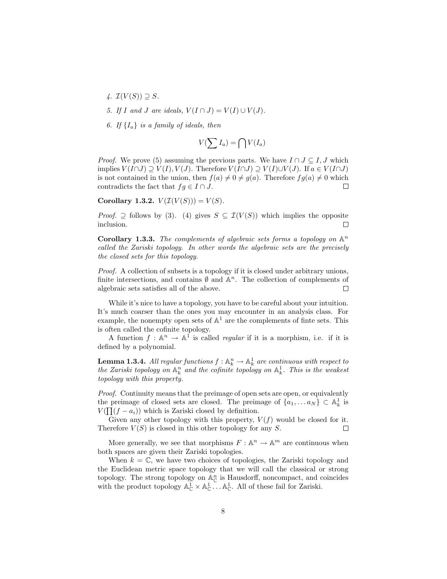- 4.  $\mathcal{I}(V(S)) \supseteq S$ .
- 5. If I and J are ideals,  $V(I \cap J) = V(I) \cup V(J)$ .
- 6. If  $\{I_a\}$  is a family of ideals, then

$$
V(\sum I_a) = \bigcap V(I_a)
$$

*Proof.* We prove (5) assuming the previous parts. We have  $I \cap J \subseteq I, J$  which implies  $V(I \cap J) \supseteq V(I), V(J)$ . Therefore  $V(I \cap J) \supseteq V(I) \cup V(J)$ . If  $a \in V(I \cap J)$ is not contained in the union, then  $f(a) \neq 0 \neq g(a)$ . Therefore  $fg(a) \neq 0$  which contradicts the fact that  $fg \in I \cap J$ .  $\Box$ 

Corollary 1.3.2.  $V(\mathcal{I}(V(S))) = V(S)$ .

*Proof.*  $\supseteq$  follows by (3). (4) gives  $S \subseteq \mathcal{I}(V(S))$  which implies the opposite inclusion.  $\Box$ 

**Corollary 1.3.3.** The complements of algebraic sets forms a topology on  $\mathbb{A}^n$ called the Zariski topology. In other words the algebraic sets are the precisely the closed sets for this topology.

Proof. A collection of subsets is a topology if it is closed under arbitrary unions, finite intersections, and contains  $\emptyset$  and  $\mathbb{A}^n$ . The collection of complements of algebraic sets satisfies all of the above.  $\Box$ 

While it's nice to have a topology, you have to be careful about your intuition. It's much coarser than the ones you may encounter in an analysis class. For example, the nonempty open sets of  $\mathbb{A}^1$  are the complements of finte sets. This is often called the cofinite topology.

A function  $f: \mathbb{A}^n \to \mathbb{A}^1$  is called *regular* if it is a morphism, i.e. if it is defined by a polynomial.

**Lemma 1.3.4.** All regular functions  $f: \mathbb{A}^n_k \to \mathbb{A}^1_k$  are continuous with respect to the Zariski topology on  $\mathbb{A}_k^n$  and the cofinite topology on  $\mathbb{A}_k^1$ . This is the weakest topology with this property.

Proof. Continuity means that the preimage of open sets are open, or equivalently the preimage of closed sets are closed. The preimage of  $\{a_1, \ldots a_N\} \subset \mathbb{A}^1_k$  is  $V(\prod (f - a_i))$  which is Zariski closed by definition.

Given any other topology with this property,  $V(f)$  would be closed for it. Therefore  $V(S)$  is closed in this other topology for any S.  $\Box$ 

More generally, we see that morphisms  $F: \mathbb{A}^n \to \mathbb{A}^m$  are continuous when both spaces are given their Zariski topologies.

When  $k = \mathbb{C}$ , we have two choices of topologies, the Zariski topology and the Euclidean metric space topology that we will call the classical or strong topology. The strong topology on  $\mathbb{A}_{\mathbb{C}}^n$  is Hausdorff, noncompact, and coincides with the product topology  $\mathbb{A}_{\mathbb{C}}^1 \times \mathbb{A}_{\mathbb{C}}^1 \dots \mathbb{A}_{\mathbb{C}}^1$ . All of these fail for Zariski.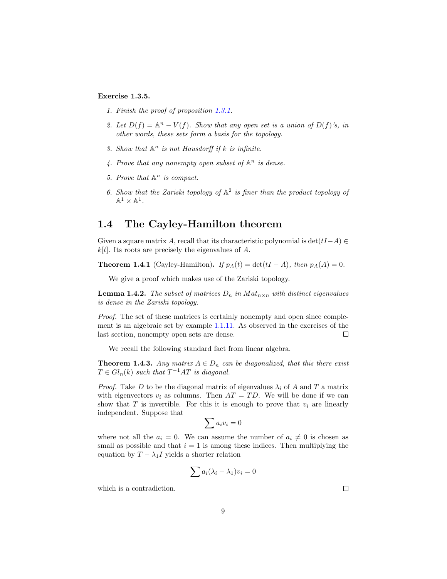#### Exercise 1.3.5.

- 1. Finish the proof of proposition [1.3.1.](#page-7-1)
- 2. Let  $D(f) = \mathbb{A}^n V(f)$ . Show that any open set is a union of  $D(f)$ 's, in other words, these sets form a basis for the topology.
- 3. Show that  $A^n$  is not Hausdorff if k is infinite.
- 4. Prove that any nonempty open subset of  $\mathbb{A}^n$  is dense.
- 5. Prove that  $\mathbb{A}^n$  is compact.
- 6. Show that the Zariski topology of  $A^2$  is finer than the product topology of  $\mathbb{A}^1 \times \mathbb{A}^1$ .

#### <span id="page-9-0"></span>1.4 The Cayley-Hamilton theorem

Given a square matrix A, recall that its characteristic polynomial is  $\det(tI-A) \in$  $k[t]$ . Its roots are precisely the eigenvalues of A.

**Theorem 1.4.1** (Cayley-Hamilton). If  $p_A(t) = \det(tI - A)$ , then  $p_A(A) = 0$ .

We give a proof which makes use of the Zariski topology.

**Lemma 1.4.2.** The subset of matrices  $D_n$  in  $Mat_{n \times n}$  with distinct eigenvalues is dense in the Zariski topology.

Proof. The set of these matrices is certainly nonempty and open since complement is an algebraic set by example [1.1.11.](#page-5-1) As observed in the exercises of the last section, nonempty open sets are dense.  $\Box$ 

We recall the following standard fact from linear algebra.

**Theorem 1.4.3.** Any matrix  $A \in D_n$  can be diagonalized, that this there exist  $T \in Gl_n(k)$  such that  $T^{-1}AT$  is diagonal.

*Proof.* Take D to be the diagonal matrix of eigenvalues  $\lambda_i$  of A and T a matrix with eigenvectors  $v_i$  as columns. Then  $AT = TD$ . We will be done if we can show that  $T$  is invertible. For this it is enough to prove that  $v_i$  are linearly independent. Suppose that

$$
\sum a_i v_i = 0
$$

where not all the  $a_i = 0$ . We can assume the number of  $a_i \neq 0$  is chosen as small as possible and that  $i = 1$  is among these indices. Then multiplying the equation by  $T - \lambda_1 I$  yields a shorter relation

$$
\sum a_i(\lambda_i - \lambda_1)v_i = 0
$$

which is a contradiction.

 $\Box$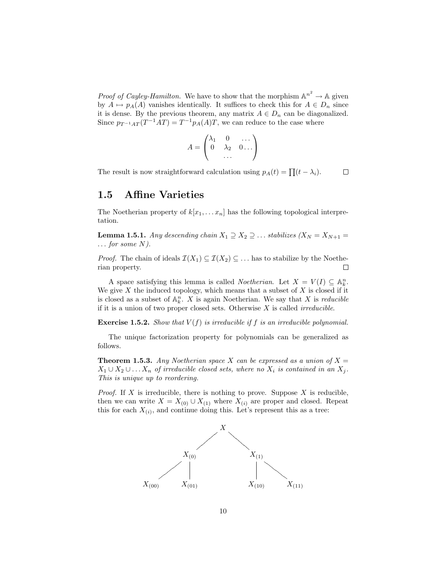*Proof of Cayley-Hamilton.* We have to show that the morphism  $\mathbb{A}^{n^2} \to \mathbb{A}$  given by  $A \mapsto p_A(A)$  vanishes identically. It suffices to check this for  $A \in D_n$  since it is dense. By the previous theorem, any matrix  $A \in D_n$  can be diagonalized. Since  $p_{T^{-1}AT}(T^{-1}AT) = T^{-1}p_A(A)T$ , we can reduce to the case where

$$
A = \begin{pmatrix} \lambda_1 & 0 & \dots \\ 0 & \lambda_2 & 0 \dots \\ \dots & \dots & \dots \end{pmatrix}
$$

The result is now straightforward calculation using  $p_A(t) = \prod (t - \lambda_i)$ .  $\Box$ 

#### <span id="page-10-0"></span>1.5 Affine Varieties

The Noetherian property of  $k[x_1, \ldots x_n]$  has the following topological interpretation.

**Lemma 1.5.1.** Any descending chain  $X_1 \supseteq X_2 \supseteq \ldots$  stabilizes  $(X_N = X_{N+1})$  $\ldots$  for some N).

*Proof.* The chain of ideals  $\mathcal{I}(X_1) \subseteq \mathcal{I}(X_2) \subseteq \ldots$  has to stabilize by the Noetherian property.  $\Box$ 

A space satisfying this lemma is called *Noetherian*. Let  $X = V(I) \subseteq \mathbb{A}_{k}^{n}$ . We give  $X$  the induced topology, which means that a subset of  $X$  is closed if it is closed as a subset of  $\mathbb{A}_k^n$ . X is again Noetherian. We say that X is *reducible* if it is a union of two proper closed sets. Otherwise  $X$  is called *irreducible*.

**Exercise 1.5.2.** Show that  $V(f)$  is irreducible if f is an irreducible polynomial.

The unique factorization property for polynomials can be generalized as follows.

**Theorem 1.5.3.** Any Noetherian space X can be expressed as a union of  $X =$  $X_1 \cup X_2 \cup \ldots X_n$  of irreducible closed sets, where no  $X_i$  is contained in an  $X_j$ . This is unique up to reordering.

*Proof.* If X is irreducible, there is nothing to prove. Suppose X is reducible, then we can write  $X = X_{(0)} \cup X_{(1)}$  where  $X_{(i)}$  are proper and closed. Repeat this for each  $X_{(i)}$ , and continue doing this. Let's represent this as a tree:

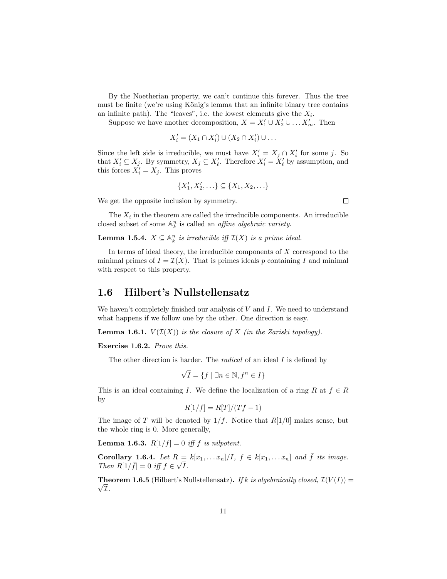By the Noetherian property, we can't continue this forever. Thus the tree must be finite (we're using König's lemma that an infinite binary tree contains an infinite path). The "leaves", i.e. the lowest elements give the  $X_i$ .

Suppose we have another decomposition,  $X = X'_1 \cup X'_2 \cup \ldots X'_m$ . Then

$$
X_i' = (X_1 \cap X_i') \cup (X_2 \cap X_i') \cup \dots
$$

Since the left side is irreducible, we must have  $X'_i = X_j \cap X'_i$  for some j. So that  $X'_i \subseteq X_j$ . By symmetry,  $X_j \subseteq X'_{\ell}$ . Therefore  $X'_i = X'_{\ell}$  by assumption, and this forces  $X'_i = X_j$ . This proves

$$
\{X'_1, X'_2, \ldots\} \subseteq \{X_1, X_2, \ldots\}
$$

We get the opposite inclusion by symmetry.

 $\Box$ 

The  $X_i$  in the theorem are called the irreducible components. An irreducible closed subset of some  $\mathbb{A}_k^n$  is called an *affine algebraic variety*.

**Lemma 1.5.4.**  $X \subseteq \mathbb{A}^n_k$  is irreducible iff  $\mathcal{I}(X)$  is a prime ideal.

In terms of ideal theory, the irreducible components of  $X$  correspond to the minimal primes of  $I = \mathcal{I}(X)$ . That is primes ideals p containing I and minimal with respect to this property.

#### <span id="page-11-0"></span>1.6 Hilbert's Nullstellensatz

We haven't completely finished our analysis of  $V$  and  $I$ . We need to understand what happens if we follow one by the other. One direction is easy.

**Lemma 1.6.1.**  $V(\mathcal{I}(X))$  is the closure of X (in the Zariski topology).

Exercise 1.6.2. Prove this.

The other direction is harder. The *radical* of an ideal I is defined by

$$
\sqrt{I} = \{ f \mid \exists n \in \mathbb{N}, f^n \in I \}
$$

This is an ideal containing I. We define the localization of a ring R at  $f \in R$ by

$$
R[1/f] = R[T]/(Tf - 1)
$$

The image of T will be denoted by  $1/f$ . Notice that  $R[1/0]$  makes sense, but the whole ring is 0. More generally,

**Lemma 1.6.3.**  $R[1/f] = 0$  iff f is nilpotent.

Corollary 1.6.4. Let  $R = k[x_1, \ldots x_n]/I$ ,  $f \in k[x_1, \ldots x_n]$  and  $\overline{f}$  its image. Corollary 1.6.4. Let  $R :$ <br>Then  $R[1/\bar{f}] = 0$  iff  $f \in \sqrt{f}$ I.

**Theorem 1.6.5** (Hilbert's Nullstellensatz). If k is algebraically closed,  $\mathcal{I}(V(I)) =$  $\sqrt{\mathcal{I}}$ .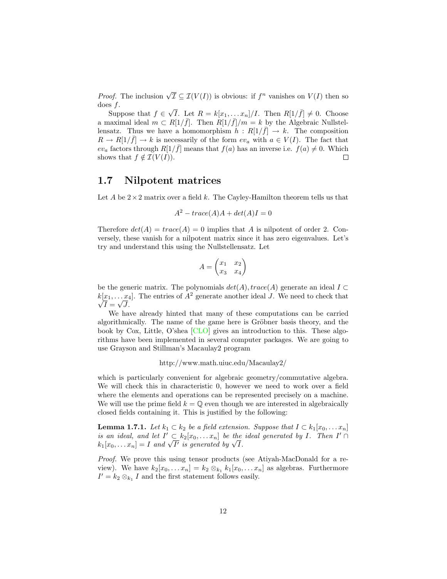*Proof.* The inclusion  $\sqrt{\mathcal{I}} \subseteq \mathcal{I}(V(I))$  is obvious: if  $f^n$  vanishes on  $V(I)$  then so does f. √

 $\overline{I}$ . Let  $R = k[x_1, \ldots x_n]/I$ . Then  $R[1/\overline{f}] \neq 0$ . Choose Suppose that  $f \in$ a maximal ideal  $m \text{ }\subset R[1/\bar{f}]$ . Then  $R[1/\bar{f}]/m = k$  by the Algebraic Nullstellensatz. Thus we have a homomorphism  $h: R[1/\bar{f}] \to k$ . The composition  $R \to R[1/\bar{f}] \to k$  is necessarily of the form  $ev_a$  with  $a \in V(I)$ . The fact that  $ev_a$  factors through  $R[1/\bar{f}]$  means that  $f(a)$  has an inverse i.e.  $f(a) \neq 0$ . Which shows that  $f \notin \mathcal{I}(V(I)).$  $\Box$ 

#### <span id="page-12-0"></span>1.7 Nilpotent matrices

Let A be  $2 \times 2$  matrix over a field k. The Cayley-Hamilton theorem tells us that

$$
A^2 - trace(A)A + det(A)I = 0
$$

Therefore  $det(A) = trace(A) = 0$  implies that A is nilpotent of order 2. Conversely, these vanish for a nilpotent matrix since it has zero eigenvalues. Let's try and understand this using the Nullstellensatz. Let

$$
A = \begin{pmatrix} x_1 & x_2 \\ x_3 & x_4 \end{pmatrix}
$$

be the generic matrix. The polynomials  $det(A)$ ,  $trace(A)$  generate an ideal  $I \subset$  $k[x_1, \ldots, x_4]$ . The entries of  $A^2$  generate another ideal J. We need to check that  $I=\sqrt{J}$ .

We have already hinted that many of these computations can be carried algorithmically. The name of the game here is Gröbner basis theory, and the book by Cox, Little, O'shea [\[CLO\]](#page-40-3) gives an introduction to this. These algorithms have been implemented in several computer packages. We are going to use Grayson and Stillman's Macaulay2 program

http://www.math.uiuc.edu/Macaulay2/

which is particularly convenient for algebraic geometry/commutative algebra. We will check this in characteristic 0, however we need to work over a field where the elements and operations can be represented precisely on a machine. We will use the prime field  $k = \mathbb{Q}$  even though we are interested in algebraically closed fields containing it. This is justified by the following:

**Lemma 1.7.1.** Let  $k_1 \,\subset k_2$  be a field extension. Suppose that  $I \subset k_1[x_0, \ldots, x_n]$ is an ideal, and let  $I' \subset k_2[x_0,...x_n]$  be the ideal generated by I. Then  $I' \cap I$ is an ideal, and let  $\Gamma \subset \kappa_2[x_0, \ldots x_n]$  be the  $k_1[x_0, \ldots x_n] = I$  and  $\sqrt{I'}$  is generated by  $\sqrt{I}$ .

Proof. We prove this using tensor products (see Atiyah-MacDonald for a review). We have  $k_2[x_0, \ldots x_n] = k_2 \otimes_{k_1} k_1[x_0, \ldots x_n]$  as algebras. Furthermore  $I' = k_2 \otimes_{k_1} I$  and the first statement follows easily.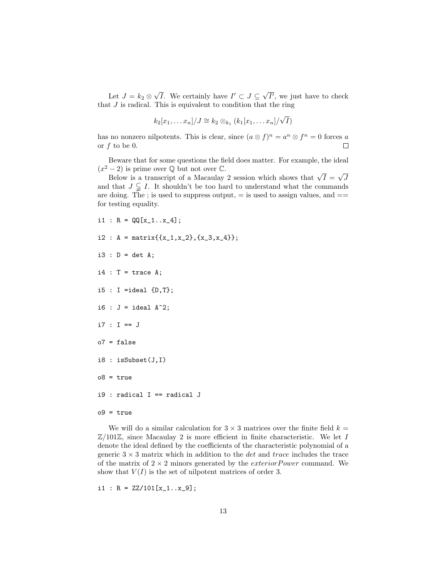Let  $J = k_2 \otimes$ √ *I*. We certainly have  $I' \subset J \subseteq \sqrt{ }$  $\overline{I'}$ , we just have to check that  $J$  is radical. This is equivalent to condition that the ring

$$
k_2[x_1,\ldots x_n]/J \cong k_2 \otimes_{k_1} (k_1[x_1,\ldots x_n]/\sqrt{I})
$$

has no nonzero nilpotents. This is clear, since  $(a \otimes f)^n = a^n \otimes f^n = 0$  forces a or f to be 0.  $\Box$ 

Beware that for some questions the field does matter. For example, the ideal  $(x^2 - 2)$  is prime over  $\mathbb Q$  but not over  $\mathbb C$ . √

 $-2$ ) is prime over  $\mathbb Q$  but not over  $\mathbb C$ .<br>Below is a transcript of a Macaulay 2 session which shows that  $\sqrt{I} =$ J and that  $J \subsetneq I$ . It shouldn't be too hard to understand what the commands are doing. The ; is used to suppress output,  $=$  is used to assign values, and  $==$ for testing equality.

$$
i1 : R = QQ[x_1...x_4];
$$

- i2 : A = matrix $\{x_1, x_2\}, \{x_3, x_4\}\};$
- $i3 : D = det A;$
- $i4$  : T = trace A;
- i5 : I =ideal {D,T};
- i6 :  $J =$  ideal  $A^2$ ;
- i7 : I == J
- o7 = false
- i8 : isSubset(J,I)
- $o8 = true$
- i9 : radical I == radical J
- $o9 = true$

We will do a similar calculation for  $3 \times 3$  matrices over the finite field  $k =$  $\mathbb{Z}/101\mathbb{Z}$ , since Macaulay 2 is more efficient in finite characteristic. We let I denote the ideal defined by the coefficients of the characteristic polynomial of a generic  $3 \times 3$  matrix which in addition to the *det* and *trace* includes the trace of the matrix of  $2 \times 2$  minors generated by the *exterior Power* command. We show that  $V(I)$  is the set of nilpotent matrices of order 3.

i1 :  $R = ZZ/101[x_1...x_9];$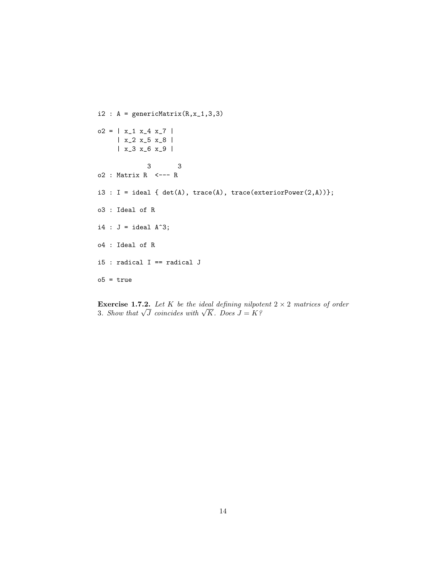```
i2 : A = genericMatrix(R, x_1, 3, 3)o2 = | x_1 x_2 4 x_7 || x_2 x_5 x_8 |
     | x_3 x_6 x_9 |
            3 3
o2 : Matrix R <--- R
i3 : I = ideal \{ det(A), trace(A), trace(exteriorPower(2,A)) \};o3 : Ideal of R
i4 : J = ideal A^3;
o4 : Ideal of R
i5 : radical I == radical J
o5 = true
```
**Exercise 1.7.2.** Let K be the ideal defining nilpotent  $2 \times 2$  matrices of order 3. Show that  $\sqrt{J}$  coincides with  $\sqrt{K}$ . Does  $J = K$ ?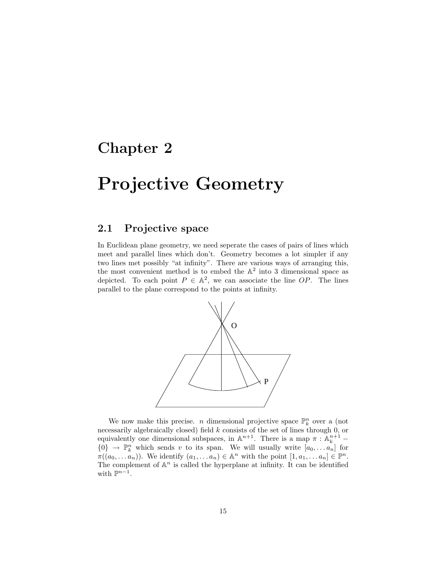## <span id="page-15-0"></span>Chapter 2

# Projective Geometry

### <span id="page-15-1"></span>2.1 Projective space

In Euclidean plane geometry, we need seperate the cases of pairs of lines which meet and parallel lines which don't. Geometry becomes a lot simpler if any two lines met possibly "at infinity". There are various ways of arranging this, the most convenient method is to embed the  $\mathbb{A}^2$  into 3 dimensional space as depicted. To each point  $P \in \mathbb{A}^2$ , we can associate the line OP. The lines parallel to the plane correspond to the points at infinity.



We now make this precise. *n* dimensional projective space  $\mathbb{P}_k^n$  over a (not necessarily algebraically closed) field k consists of the set of lines through 0, or equivalently one dimensional subspaces, in  $\mathbb{A}^{n+1}$ . There is a map  $\pi : \mathbb{A}^{n+1}_k$  ${0} \rightarrow \mathbb{P}_{k}^{n}$  which sends v to its span. We will usually write  $[a_0, \ldots, a_n]$  for  $\pi((a_0,\ldots a_n))$ . We identify  $(a_1,\ldots a_n)\in \mathbb{A}^n$  with the point  $[1,a_1,\ldots a_n]\in \mathbb{P}^n$ . The complement of  $\mathbb{A}^n$  is called the hyperplane at infinity. It can be identified with  $\mathbb{P}^{n-1}$ .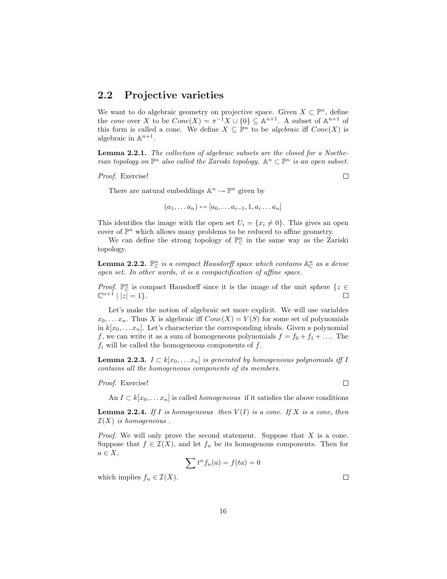#### <span id="page-16-0"></span>2.2 Projective varieties

We want to do algebraic geometry on projective space. Given  $X \subset \mathbb{P}^n$ , define the cone over X to be  $Cone(X) = \pi^{-1}X \cup \{0\} \subseteq \mathbb{A}^{n+1}$ . A subset of  $\mathbb{A}^{n+1}$  of this form is called a cone. We define  $X \subseteq \mathbb{P}^n$  to be *algebraic* iff  $Cone(X)$  is algebraic in  $\mathbb{A}^{n+1}$ .

Lemma 2.2.1. The collection of algebraic subsets are the closed for a Noetherian topology on  $\mathbb{P}^n$  also called the Zariski topology.  $\mathbb{A}^n \subset \mathbb{P}^n$  is an open subset.

Proof. Exercise!

There are natural embeddings  $\mathbb{A}^n \to \mathbb{P}^n$  given by

$$
(a_1, \ldots a_n) \mapsto [a_0, \ldots a_{i-1}, 1, a_i \ldots a_n]
$$

This identifies the image with the open set  $U_i = \{x_i \neq 0\}$ . This gives an open cover of  $\mathbb{P}^n$  which allows many problems to be reduced to affine geometry.

We can define the strong topology of  $\mathbb{P}^n_{\mathbb{C}}$  in the same way as the Zariski topology.

**Lemma 2.2.2.**  $\mathbb{P}^n_{\mathbb{C}}$  is a compact Hausdorff space which contains  $\mathbb{A}^n_{\mathbb{C}}$  as a dense open set. In other words, it is a compactification of affine space.

*Proof.*  $\mathbb{P}^n_{\mathbb{C}}$  is compact Hausdorff since it is the image of the unit sphere  $\{z \in \mathbb{C}\}$  $\mathbb{C}^{n+1} | |z| = 1$ .  $\Box$ 

Let's make the notion of algebraic set more explicit. We will use variables  $x_0, \ldots, x_n$ . Thus X is algebraic iff  $Cone(X) = V(S)$  for some set of polynomials in  $k[x_0, \ldots, x_n]$ . Let's characterize the corresponding ideals. Given a polynomial f, we can write it as a sum of homogeneous polynomials  $f = f_0 + f_1 + \dots$  The  $f_i$  will be called the homogeneous components of  $f$ .

**Lemma 2.2.3.**  $I \subset k[x_0, \ldots x_n]$  is generated by homogeneous polynomials iff I contains all the homogeneous components of its members.

#### Proof. Exercise!

An  $I \subset k[x_0, \ldots x_n]$  is called *homogeneous* if it satisfies the above conditions

**Lemma 2.2.4.** If I is homogeneous then  $V(I)$  is a cone. If X is a cone, then  $\mathcal{I}(X)$  is homogeneous.

*Proof.* We will only prove the second statement. Suppose that  $X$  is a cone. Suppose that  $f \in \mathcal{I}(X)$ , and let  $f_n$  be its homogenous components. Then for  $a \in X$ ,

$$
\sum t^n f_n(a) = f(ta) = 0
$$

which implies  $f_n \in \mathcal{I}(X)$ .

 $\Box$ 

 $\Box$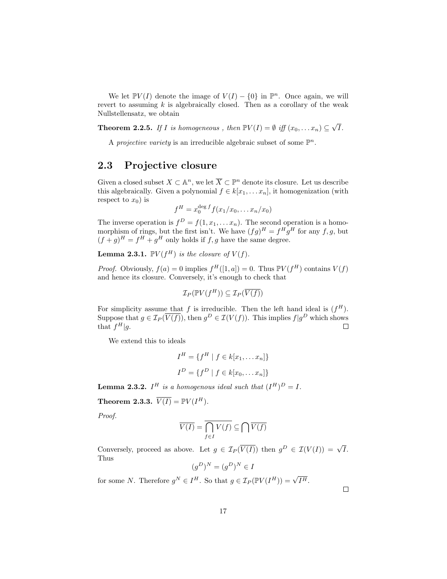We let  $\mathbb{P}V(I)$  denote the image of  $V(I) - \{0\}$  in  $\mathbb{P}^n$ . Once again, we will revert to assuming  $k$  is algebraically closed. Then as a corollary of the weak Nullstellensatz, we obtain

**Theorem 2.2.5.** If I is homogeneous, then  $\mathbb{P}V(I) = \emptyset$  iff  $(x_0, \ldots, x_n) \subseteq \sqrt{I(I)}$ I.

A *projective variety* is an irreducible algebraic subset of some  $\mathbb{P}^n$ .

### <span id="page-17-0"></span>2.3 Projective closure

Given a closed subset  $X \subset \mathbb{A}^n$ , we let  $\overline{X} \subset \mathbb{P}^n$  denote its closure. Let us describe this algebraically. Given a polynomial  $f \in k[x_1, \ldots x_n]$ , it homogenization (with respect to  $x_0$ ) is

$$
f^H = x_0^{\deg f} f(x_1/x_0, \dots x_n/x_0)
$$

The inverse operation is  $f^D = f(1, x_1, \ldots, x_n)$ . The second operation is a homomorphism of rings, but the first isn't. We have  $(fg)^H = f^H g^H$  for any  $f, g$ , but  $(f+g)^H = f^H + g^H$  only holds if f, g have the same degree.

**Lemma 2.3.1.**  $\mathbb{P}V(f^H)$  is the closure of  $V(f)$ .

*Proof.* Obviously,  $f(a) = 0$  implies  $f^H([1, a]) = 0$ . Thus  $\mathbb{P}V(f^H)$  contains  $V(f)$ and hence its closure. Conversely, it's enough to check that

$$
\mathcal{I}_P(\mathbb{P} V(f^H)) \subseteq \mathcal{I}_P(\overline{V(f)})
$$

For simplicity assume that f is irreducible. Then the left hand ideal is  $(f^H)$ . Suppose that  $g \in \mathcal{I}_P(\overline{V(f)})$ , then  $g^D \in \mathcal{I}(V(f))$ . This implies  $f|g^D$  which shows that  $f^H|g$ .  $\Box$ 

We extend this to ideals

$$
I^{H} = \{ f^{H} | f \in k[x_{1},...,x_{n}] \}
$$

$$
I^{D} = \{ f^{D} | f \in k[x_{0},...,x_{n}] \}
$$

**Lemma 2.3.2.**  $I^H$  is a homogenous ideal such that  $(I^H)^D = I$ .

**Theorem 2.3.3.**  $\overline{V(I)} = \mathbb{P}V(I^H)$ .

Proof.

$$
\overline{V(I)} = \overline{\bigcap_{f \in I} V(f)} \subseteq \bigcap \overline{V(f)}
$$

Conversely, proceed as above. Let  $g \in \mathcal{I}_P(\overline{V(I)})$  then  $g^D \in \mathcal{I}(V(I)) = \sqrt{I}$ . Thus

$$
(g^D)^N = (g^D)^N \in I
$$

for some N. Therefore  $g^N \in I^H$ . So that  $g \in \mathcal{I}_P(\mathbb{P} V(I^H)) = \sqrt{I^H}$ .

 $\Box$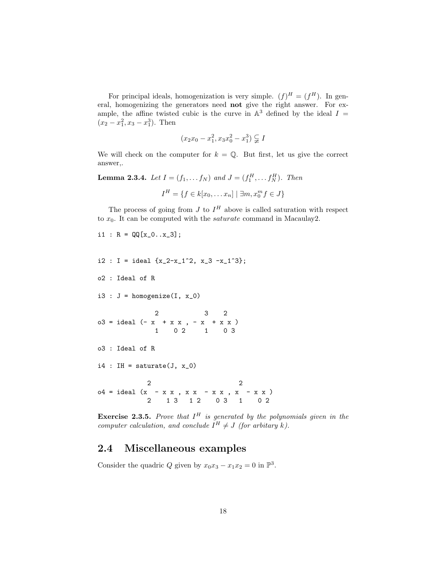For principal ideals, homogenization is very simple.  $(f)^H = (f^H)$ . In general, homogenizing the generators need not give the right answer. For example, the affine twisted cubic is the curve in  $\mathbb{A}^3$  defined by the ideal  $I =$  $(x_2 - x_1^2, x_3 - x_1^3)$ . Then

$$
(x_2x_0 - x_1^2, x_3x_0^2 - x_1^3) \subsetneq I
$$

We will check on the computer for  $k = \mathbb{Q}$ . But first, let us give the correct answer,.

**Lemma 2.3.4.** Let  $I = (f_1, ..., f_N)$  and  $J = (f_1^H, ..., f_N^H)$ . Then

$$
I^{H} = \{ f \in k[x_0, \dots x_n] \mid \exists m, x_0^m f \in J \}
$$

The process of going from J to  $I^H$  above is called saturation with respect to  $x_0$ . It can be computed with the *saturate* command in Macaulay2.

```
i1 : R = QQ[x_0...x_3];
```
 $i2$  : I = ideal  $\{x_2-x_1^2, x_3-x_1^3\}$ ;

o2 : Ideal of R

i3 :  $J = \text{homogeneity}(I, x_0)$ 

$$
03 = ideal (-x + x x, -x + x x)
$$
  
1 0 2 1 0 3

o3 : Ideal of R

 $i4$  : IH = saturate(J,  $x_0$ )

2 2  $o4 = ideal (x - x x, x x - x x, x - x x)$ 2 1 3 1 2 0 3 1 0 2

**Exercise 2.3.5.** Prove that  $I^H$  is generated by the polynomials given in the computer calculation, and conclude  $I^H \neq J$  (for arbitary k).

### <span id="page-18-0"></span>2.4 Miscellaneous examples

Consider the quadric Q given by  $x_0x_3 - x_1x_2 = 0$  in  $\mathbb{P}^3$ .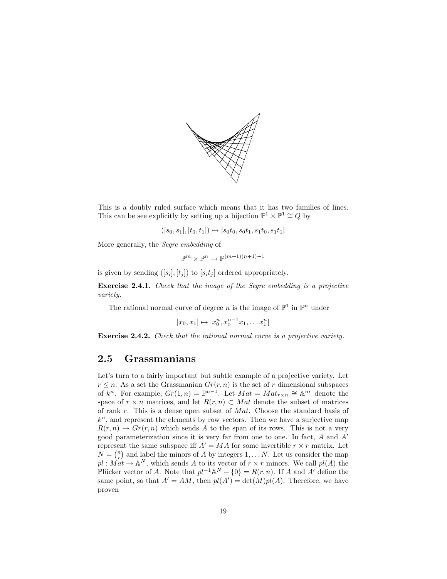

This is a doubly ruled surface which means that it has two families of lines. This can be see explicitly by setting up a bijection  $\mathbb{P}^1 \times \mathbb{P}^1 \cong Q$  by

$$
([s_0, s_1], [t_0, t_1]) \mapsto [s_0t_0, s_0t_1, s_1t_0, s_1t_1]
$$

More generally, the Segre embedding of

$$
\mathbb{P}^m \times \mathbb{P}^n \to \mathbb{P}^{(m+1)(n+1)-1}
$$

is given by sending  $([s_i], [t_j])$  to  $[s_i t_j]$  ordered appropriately.

Exercise 2.4.1. Check that the image of the Segre embedding is a projective variety.

The rational normal curve of degree *n* is the image of  $\mathbb{P}^1$  in  $\mathbb{P}^n$  under

$$
[x_0, x_1] \mapsto [x_0^n, x_0^{n-1} x_1, \dots x_1^n]
$$

Exercise 2.4.2. Check that the rational normal curve is a projective variety.

#### <span id="page-19-0"></span>2.5 Grassmanians

Let's turn to a fairly important but subtle example of a projective variety. Let  $r \leq n$ . As a set the Grassmanian  $Gr(r, n)$  is the set of r dimensional subspaces of  $k^n$ . For example,  $Gr(1, n) = \mathbb{P}^{n-1}$ . Let  $Mat = Mat_{r \times n} \cong \mathbb{A}^{nr}$  denote the space of  $r \times n$  matrices, and let  $R(r, n) \subset Mat$  denote the subset of matrices of rank r. This is a dense open subset of  $Mat$ . Choose the standard basis of  $k<sup>n</sup>$ , and represent the elements by row vectors. Then we have a surjective map  $R(r, n) \rightarrow Gr(r, n)$  which sends A to the span of its rows. This is not a very good parameterization since it is very far from one to one. In fact,  $A$  and  $A'$ represent the same subspace iff  $A' = MA$  for some invertible  $r \times r$  matrix. Let  $N = \binom{n}{r}$  and label the minors of A by integers 1, ... N. Let us consider the map  $p_l : Mat \to \mathbb{A}^N$ , which sends A to its vector of  $r \times r$  minors. We call  $pl(A)$  the Plücker vector of A. Note that  $pl^{-1} \mathbb{A}^N - \{0\} = R(r, n)$ . If A and A' define the same point, so that  $A' = AM$ , then  $pl(A') = det(M)pl(A)$ . Therefore, we have proven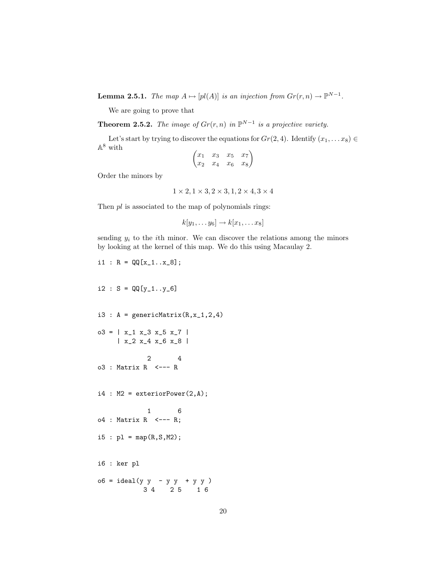**Lemma 2.5.1.** The map  $A \mapsto [pl(A)]$  is an injection from  $Gr(r, n) \to \mathbb{P}^{N-1}$ .

We are going to prove that

**Theorem 2.5.2.** The image of  $Gr(r, n)$  in  $\mathbb{P}^{N-1}$  is a projective variety.

Let's start by trying to discover the equations for  $Gr(2, 4)$ . Identify  $(x_1, \ldots x_8) \in$  $\mathbb{A}^8$  with

$$
\begin{pmatrix} x_1 & x_3 & x_5 & x_7 \\ x_2 & x_4 & x_6 & x_8 \end{pmatrix}
$$

Order the minors by

$$
1 \times 2, 1 \times 3, 2 \times 3, 1, 2 \times 4, 3 \times 4
$$

Then  $pl$  is associated to the map of polynomials rings:

$$
k[y_1,\ldots y_6]\to k[x_1,\ldots x_8]
$$

sending  $y_i$  to the *i*th minor. We can discover the relations among the minors by looking at the kernel of this map. We do this using Macaulay 2.

```
i1 : R = QQ[x_1...x_8];i2 : S = QQ[y_1...y_6]i3 : A = genericMatrix(R, x_1, 2, 4)o3 = | x_1 x_3 x_5 x_7 || x_2 x_4 x_6 x_8 |
            2 4
o3 : Matrix R \leq - - Ri4 : M2 = exteriorPower(2,A);
            1 6
o4 : Matrix R <--- R;
i5 : p1 = map(R, S, M2);i6 : ker pl
o6 = ideal(y \, y - y \, y + y \, y)3 4 2 5 1 6
```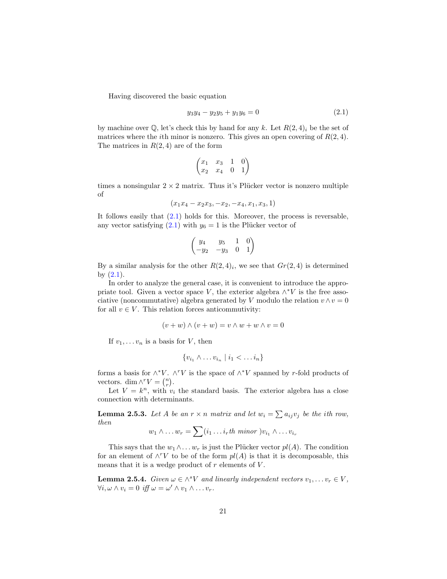Having discovered the basic equation

<span id="page-21-0"></span>
$$
y_3y_4 - y_2y_5 + y_1y_6 = 0 \tag{2.1}
$$

by machine over Q, let's check this by hand for any k. Let  $R(2, 4)_i$  be the set of matrices where the *i*th minor is nonzero. This gives an open covering of  $R(2, 4)$ . The matrices in  $R(2, 4)$  are of the form

$$
\begin{pmatrix} x_1 & x_3 & 1 & 0 \\ x_2 & x_4 & 0 & 1 \end{pmatrix}
$$

times a nonsingular  $2 \times 2$  matrix. Thus it's Plücker vector is nonzero multiple of

$$
(x_1x_4-x_2x_3,-x_2,-x_4,x_1,x_3,1)
$$

It follows easily that  $(2.1)$  holds for this. Moreover, the process is reversable, any vector satisfying  $(2.1)$  with  $y_6 = 1$  is the Plücker vector of

$$
\begin{pmatrix} y_4 & y_5 & 1 & 0 \\ -y_2 & -y_3 & 0 & 1 \end{pmatrix}
$$

By a similar analysis for the other  $R(2,4)_i$ , we see that  $Gr(2,4)$  is determined by  $(2.1)$ .

In order to analyze the general case, it is convenient to introduce the appropriate tool. Given a vector space V, the exterior algebra  $\wedge^* V$  is the free associative (noncommutative) algebra generated by V modulo the relation  $v \wedge v = 0$ for all  $v \in V$ . This relation forces anticommutivity:

$$
(v+w) \wedge (v+w) = v \wedge w + w \wedge v = 0
$$

If  $v_1, \ldots v_n$  is a basis for V, then

$$
\{v_{i_1} \wedge \ldots v_{i_n} \mid i_1 < \ldots i_n\}
$$

forms a basis for  $\wedge^* V$ .  $\wedge^r V$  is the space of  $\wedge^* V$  spanned by r-fold products of vectors. dim  $\wedge^r V = \binom{n}{r}$ .

Let  $V = k^n$ , with  $v_i$  the standard basis. The exterior algebra has a close connection with determinants.

**Lemma 2.5.3.** Let A be an  $r \times n$  matrix and let  $w_i = \sum a_{ij}v_j$  be the ith row, then

$$
w_1 \wedge \ldots w_r = \sum (i_1 \ldots i_r th \; \text{minor } ) v_{i_1} \wedge \ldots v_{i_r}
$$

This says that the  $w_1 \wedge \ldots w_r$  is just the Plücker vector  $pl(A)$ . The condition for an element of  $\wedge^r V$  to be of the form  $pl(A)$  is that it is decomposable, this means that it is a wedge product of  $r$  elements of  $V$ .

**Lemma 2.5.4.** Given  $\omega \in \wedge^s V$  and linearly independent vectors  $v_1, \ldots, v_r \in V$ ,  $\forall i, \omega \wedge v_i = 0 \text{ iff } \omega = \omega' \wedge v_1 \wedge \ldots v_r.$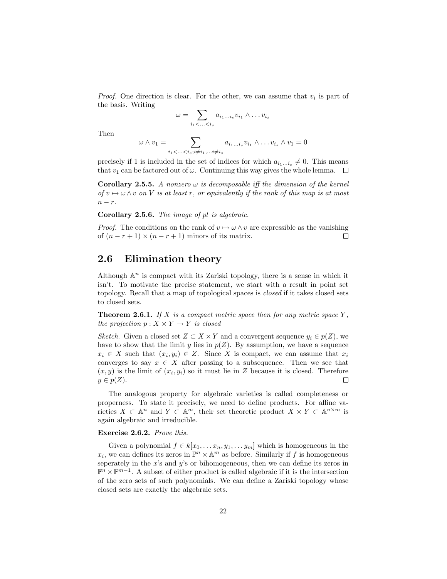*Proof.* One direction is clear. For the other, we can assume that  $v_i$  is part of the basis. Writing

$$
\omega = \sum_{i_1 < \ldots < i_s} a_{i_1 \ldots i_s} v_{i_1} \wedge \ldots v_{i_s}
$$

Then

$$
\omega \wedge v_1 = \sum_{i_1 < \ldots < i_s; i \neq i_1, \ldots, i \neq i_s} a_{i_1 \ldots i_s} v_{i_1} \wedge \ldots v_{i_s} \wedge v_1 = 0
$$

precisely if 1 is included in the set of indices for which  $a_{i_1...i_s} \neq 0$ . This means that  $v_1$  can be factored out of  $\omega$ . Continuing this way gives the whole lemma.  $\Box$ 

**Corollary 2.5.5.** A nonzero  $\omega$  is decomposable iff the dimension of the kernel of  $v \mapsto \omega \wedge v$  on V is at least r, or equivalently if the rank of this map is at most  $n - r$ .

Corollary 2.5.6. The image of pl is algebraic.

*Proof.* The conditions on the rank of  $v \mapsto \omega \wedge v$  are expressible as the vanishing of  $(n - r + 1) \times (n - r + 1)$  minors of its matrix.  $\Box$ 

#### <span id="page-22-0"></span>2.6 Elimination theory

Although  $\mathbb{A}^n$  is compact with its Zariski topology, there is a sense in which it isn't. To motivate the precise statement, we start with a result in point set topology. Recall that a map of topological spaces is closed if it takes closed sets to closed sets.

**Theorem 2.6.1.** If X is a compact metric space then for any metric space Y. the projection  $p: X \times Y \rightarrow Y$  is closed

Sketch. Given a closed set  $Z \subset X \times Y$  and a convergent sequence  $y_i \in p(Z)$ , we have to show that the limit y lies in  $p(Z)$ . By assumption, we have a sequence  $x_i \in X$  such that  $(x_i, y_i) \in Z$ . Since X is compact, we can assume that  $x_i$ converges to say  $x \in X$  after passing to a subsequence. Then we see that  $(x, y)$  is the limit of  $(x_i, y_i)$  so it must lie in Z because it is closed. Therefore  $y \in p(Z)$ .

The analogous property for algebraic varieties is called completeness or properness. To state it precisely, we need to define products. For affine varieties  $X \subset \mathbb{A}^n$  and  $Y \subset \mathbb{A}^m$ , their set theoretic product  $X \times Y \subset \mathbb{A}^{n \times m}$  is again algebraic and irreducible.

#### Exercise 2.6.2. Prove this.

Given a polynomial  $f \in k[x_0, \ldots x_n, y_1, \ldots y_m]$  which is homogeneous in the  $x_i$ , we can defines its zeros in  $\mathbb{P}^n \times \mathbb{A}^m$  as before. Similarly if f is homogeneous seperately in the x's and  $y$ 's or bihomogeneous, then we can define its zeros in  $\mathbb{P}^n$  ×  $\mathbb{P}^{m-1}$ . A subset of either product is called algebraic if it is the intersection of the zero sets of such polynomials. We can define a Zariski topology whose closed sets are exactly the algebraic sets.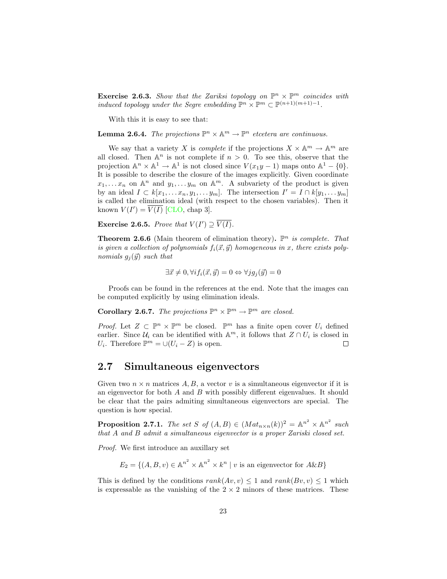**Exercise 2.6.3.** Show that the Zariksi topology on  $\mathbb{P}^n \times \mathbb{P}^m$  coincides with induced topology under the Segre embedding  $\mathbb{P}^n \times \mathbb{P}^m \subset \mathbb{P}^{(n+1)(m+1)-1}$ .

With this it is easy to see that:

**Lemma 2.6.4.** The projections  $\mathbb{P}^n \times \mathbb{A}^m \to \mathbb{P}^n$  etcetera are continuous.

We say that a variety X is *complete* if the projections  $X \times \mathbb{A}^m \to \mathbb{A}^m$  are all closed. Then  $\mathbb{A}^n$  is not complete if  $n > 0$ . To see this, observe that the projection  $\mathbb{A}^n \times \mathbb{A}^1 \to \mathbb{A}^1$  is not closed since  $V(x_1y-1)$  maps onto  $\mathbb{A}^1 - \{0\}.$ It is possible to describe the closure of the images explicitly. Given coordinate  $x_1, \ldots, x_n$  on  $\mathbb{A}^n$  and  $y_1, \ldots, y_m$  on  $\mathbb{A}^m$ . A subvariety of the product is given by an ideal  $I \subset k[x_1, \ldots x_n, y_1, \ldots y_m]$ . The intersection  $I' = I \cap k[y_1, \ldots y_m]$ is called the elimination ideal (with respect to the chosen variables). Then it known  $V(I') = \overline{V(I)}$  [\[CLO,](#page-40-3) chap 3].

**Exercise 2.6.5.** Prove that  $V(I') \supseteq \overline{V(I)}$ .

<span id="page-23-1"></span>**Theorem 2.6.6** (Main theorem of elimination theory).  $\mathbb{P}^n$  is complete. That is given a collection of polynomials  $f_i(\vec{x}, \vec{y})$  homogeneous in x, there exists polynomials  $g_i(\vec{y})$  such that

$$
\exists \vec{x} \neq 0, \forall i f_i(\vec{x}, \vec{y}) = 0 \Leftrightarrow \forall j g_j(\vec{y}) = 0
$$

Proofs can be found in the references at the end. Note that the images can be computed explicitly by using elimination ideals.

**Corollary 2.6.7.** The projections  $\mathbb{P}^n \times \mathbb{P}^m \to \mathbb{P}^m$  are closed.

*Proof.* Let  $Z \subset \mathbb{P}^n \times \mathbb{P}^m$  be closed.  $\mathbb{P}^m$  has a finite open cover  $U_i$  defined earlier. Since  $\mathcal{U}_i$  can be identified with  $\mathbb{A}^m$ , it follows that  $Z \cap U_i$  is closed in  $U_i$ . Therefore  $\mathbb{P}^m = \cup (U_i - Z)$  is open.  $\Box$ 

#### <span id="page-23-0"></span>2.7 Simultaneous eigenvectors

Given two  $n \times n$  matrices A, B, a vector v is a simultaneous eigenvector if it is an eigenvector for both  $A$  and  $B$  with possibly different eigenvalues. It should be clear that the pairs admiting simultaneous eigenvectors are special. The question is how special.

**Proposition 2.7.1.** The set S of  $(A, B) \in (Mat_{n \times n}(k))^2 = \mathbb{A}^{n^2} \times \mathbb{A}^{n^2}$  such that A and B admit a simultaneous eigenvector is a proper Zariski closed set.

Proof. We first introduce an auxillary set

 $E_2 = \{(A, B, v) \in \mathbb{A}^{n^2} \times \mathbb{A}^{n^2} \times k^n \mid v \text{ is an eigenvector for } A \& B\}$ 

This is defined by the conditions  $rank(Av, v) \leq 1$  and  $rank(Bv, v) \leq 1$  which is expressable as the vanishing of the  $2 \times 2$  minors of these matrices. These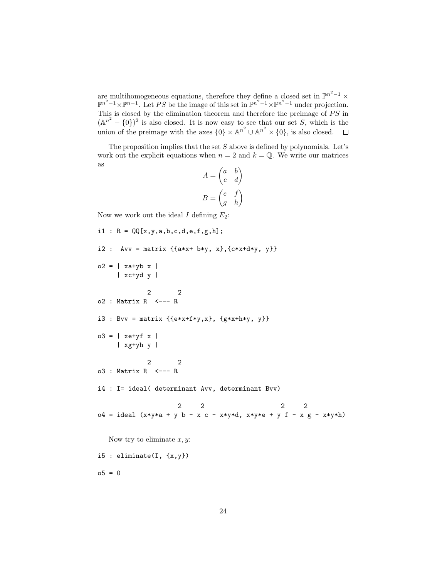are multihomogeneous equations, therefore they define a closed set in  $\mathbb{P}^{n^2-1}$  ×  $\mathbb{P}^{n^2-1}\times\mathbb{P}^{n-1}$ . Let PS be the image of this set in  $\mathbb{P}^{n^2-1}\times\mathbb{P}^{n^2-1}$  under projection. This is closed by the elimination theorem and therefore the preimage of  $PS$  in  $(A^{n^2} - \{0\})^2$  is also closed. It is now easy to see that our set S, which is the union of the preimage with the axes  $\{0\} \times \mathbb{A}^{n^2} \cup \mathbb{A}^{n^2} \times \{0\}$ , is also closed.

The proposition implies that the set  $S$  above is defined by polynomials. Let's work out the explicit equations when  $n = 2$  and  $k = \mathbb{Q}$ . We write our matrices as  $\overline{ }$ 

$$
A = \begin{pmatrix} a & b \\ c & d \end{pmatrix}
$$

$$
B = \begin{pmatrix} e & f \\ g & h \end{pmatrix}
$$

Now we work out the ideal I defining  $E_2$ :

```
i1 : R = \mathbb{Q}[\![x,y,a,b,c,d,e,f,g,h]\!];
i2 : Avv = matrix \{ \{ a*x+ b*y, x \}, \{ c*x+d*y, y \} \}o2 = | xa+yb x |
     | xc+yd y |
             2 2
o2 : Matrix R <--- R
i3 : Bvv = matrix \{e*x+f*y,x\}, \{gxx+h*y, y\}o3 = | xe+yf x || xg+yh y |
            2 2
o3 : Matrix R <--- R
i4 : I= ideal( determinant Avv, determinant Bvv)
                     2 2 2 2
o4 = ideal (x*y*a + y b - x c - x*y*d, x*y*e + y f - x g - x*y*h)Now try to eliminate x, y:
i5 : eliminate(I, \{x,y\})
o5 = 0
```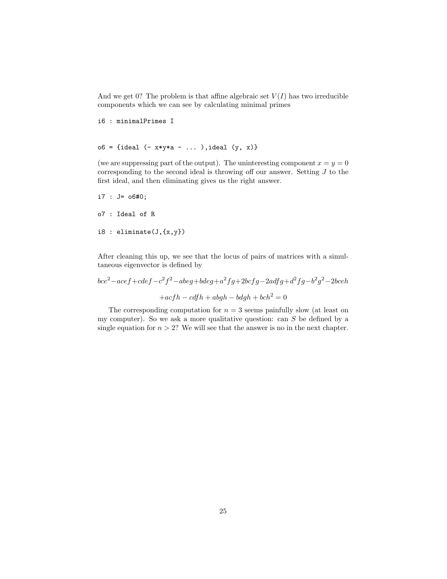And we get 0? The problem is that affine algebraic set  $V(I)$  has two irreducible components which we can see by calculating minimal primes

```
i6 : minimalPrimes I
```

```
o6 = {ideal (- x*y*a - ... ),ideal (y, x)}
```
(we are suppressing part of the output). The uninteresting component  $x = y = 0$ corresponding to the second ideal is throwing off our answer. Setting J to the first ideal, and then eliminating gives us the right answer.

```
i7 : J= o6#0;
o7 : Ideal of R
i8 : eliminate(J,{x,y})
```
After cleaning this up, we see that the locus of pairs of matrices with a simultaneous eigenvector is defined by

$$
bce2 - acef + cdef - c2f2 - abeg + bdeg + a2fg + 2bcfg - 2adfg + d2fg - b2g2 - 2bceh
$$
  
+
$$
+ acfh - cdfh + abgh - bdgh + bch2 = 0
$$

The corresponding computation for  $n = 3$  seems painfully slow (at least on my computer). So we ask a more qualitative question: can  $S$  be defined by a single equation for  $n > 2$ ? We will see that the answer is no in the next chapter.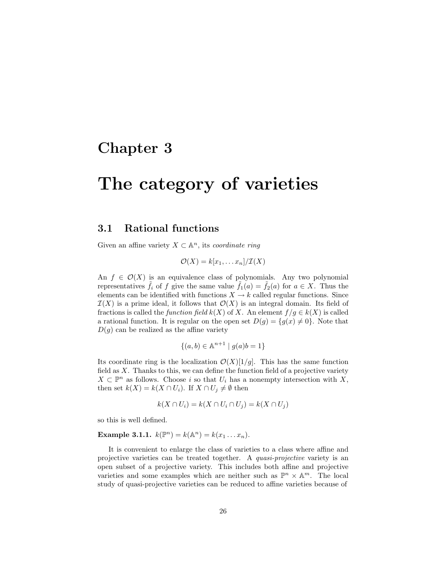### <span id="page-26-0"></span>Chapter 3

# The category of varieties

#### <span id="page-26-1"></span>3.1 Rational functions

Given an affine variety  $X \subset \mathbb{A}^n$ , its coordinate ring

$$
\mathcal{O}(X) = k[x_1, \ldots x_n]/\mathcal{I}(X)
$$

An  $f \in \mathcal{O}(X)$  is an equivalence class of polynomials. Any two polynomial representatives  $\tilde{f}_i$  of f give the same value  $\tilde{f}_1(a) = \tilde{f}_2(a)$  for  $a \in X$ . Thus the elements can be identified with functions  $X \to k$  called regular functions. Since  $\mathcal{I}(X)$  is a prime ideal, it follows that  $\mathcal{O}(X)$  is an integral domain. Its field of fractions is called the *function field*  $k(X)$  of X. An element  $f/g \in k(X)$  is called a rational function. It is regular on the open set  $D(g) = \{g(x) \neq 0\}$ . Note that  $D(g)$  can be realized as the affine variety

$$
\{(a,b) \in \mathbb{A}^{n+1} \mid g(a)b = 1\}
$$

Its coordinate ring is the localization  $\mathcal{O}(X)[1/g]$ . This has the same function field as X. Thanks to this, we can define the function field of a projective variety  $X \subset \mathbb{P}^n$  as follows. Choose i so that  $U_i$  has a nonempty intersection with  $X$ , then set  $k(X) = k(X \cap U_i)$ . If  $X \cap U_j \neq \emptyset$  then

$$
k(X \cap U_i) = k(X \cap U_i \cap U_j) = k(X \cap U_j)
$$

so this is well defined.

**Example 3.1.1.**  $k(\mathbb{P}^n) = k(\mathbb{A}^n) = k(x_1 \dots x_n)$ .

It is convenient to enlarge the class of varieties to a class where affine and projective varieties can be treated together. A quasi-projective variety is an open subset of a projective variety. This includes both affine and projective varieties and some examples which are neither such as  $\mathbb{P}^n \times \mathbb{A}^m$ . The local study of quasi-projective varieties can be reduced to affine varieties because of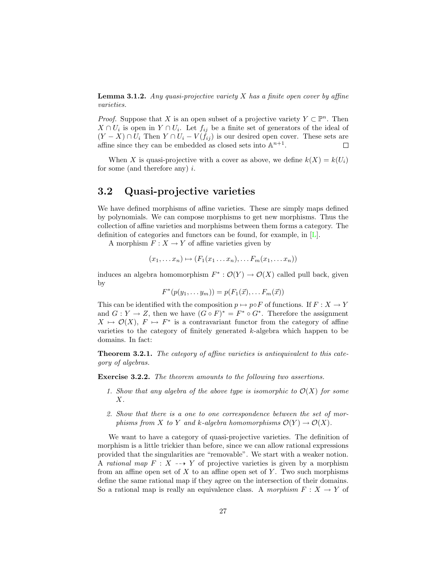**Lemma 3.1.2.** Any quasi-projective variety  $X$  has a finite open cover by affine varieties.

*Proof.* Suppose that X is an open subset of a projective variety  $Y \subset \mathbb{P}^n$ . Then  $X \cap U_i$  is open in  $Y \cap U_i$ . Let  $f_{ij}$  be a finite set of generators of the ideal of  $(Y - X) \cap U_i$  Then  $Y \cap U_i - V(f_{ij})$  is our desired open cover. These sets are affine since they can be embedded as closed sets into  $\mathbb{A}^{n+1}$ .  $\Box$ 

When X is quasi-projective with a cover as above, we define  $k(X) = k(U_i)$ for some (and therefore any)  $i$ .

#### <span id="page-27-0"></span>3.2 Quasi-projective varieties

We have defined morphisms of affine varieties. These are simply maps defined by polynomials. We can compose morphisms to get new morphisms. Thus the collection of affine varieties and morphisms between them forms a category. The definition of categories and functors can be found, for example, in [\[L\]](#page-40-4).

A morphism  $F: X \to Y$  of affine varieties given by

$$
(x_1, \ldots x_n) \mapsto (F_1(x_1 \ldots x_n), \ldots F_m(x_1, \ldots x_n))
$$

induces an algebra homomorphism  $F^* : \mathcal{O}(Y) \to \mathcal{O}(X)$  called pull back, given by

$$
F^*(p(y_1,\ldots y_m))=p(F_1(\vec{x}),\ldots F_m(\vec{x}))
$$

This can be identified with the composition  $p \mapsto p \circ F$  of functions. If  $F : X \to Y$ and  $G: Y \to Z$ , then we have  $(G \circ F)^* = F^* \circ G^*$ . Therefore the assignment  $X \mapsto \mathcal{O}(X)$ ,  $F \mapsto F^*$  is a contravariant functor from the category of affine varieties to the category of finitely generated k-algebra which happen to be domains. In fact:

Theorem 3.2.1. The category of affine varieties is antiequivalent to this category of algebras.

Exercise 3.2.2. The theorem amounts to the following two assertions.

- 1. Show that any algebra of the above type is isomorphic to  $\mathcal{O}(X)$  for some  $X<sub>1</sub>$
- 2. Show that there is a one to one correspondence between the set of morphisms from X to Y and k-algebra homomorphisms  $\mathcal{O}(Y) \to \mathcal{O}(X)$ .

We want to have a category of quasi-projective varieties. The definition of morphism is a little trickier than before, since we can allow rational expressions provided that the singularities are "removable". We start with a weaker notion. A rational map  $F: X \dashrightarrow Y$  of projective varieties is given by a morphism from an affine open set of  $X$  to an affine open set of  $Y$ . Two such morphisms define the same rational map if they agree on the intersection of their domains. So a rational map is really an equivalence class. A morphism  $F: X \to Y$  of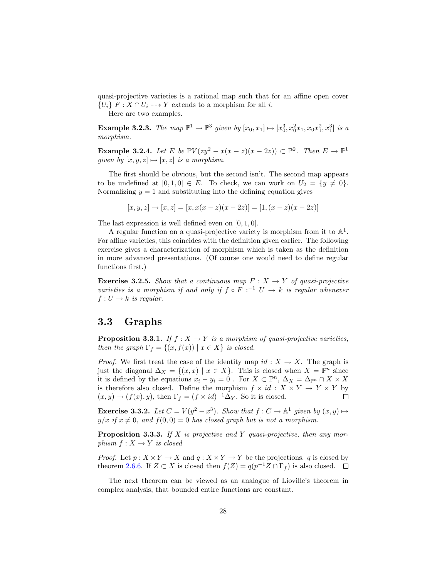quasi-projective varieties is a rational map such that for an affine open cover  ${U_i} F : X \cap U_i \longrightarrow Y$  extends to a morphism for all i.

Here are two examples.

**Example 3.2.3.** The map  $\mathbb{P}^1 \to \mathbb{P}^3$  given by  $[x_0, x_1] \mapsto [x_0^3, x_0^2 x_1, x_0 x_1^2, x_1^3]$  is a morphism.

**Example 3.2.4.** Let E be  $\mathbb{P}V(zy^2 - x(x-z)(x-2z)) \subset \mathbb{P}^2$ . Then  $E \to \mathbb{P}^1$ given by  $[x, y, z] \mapsto [x, z]$  is a morphism.

The first should be obvious, but the second isn't. The second map appears to be undefined at  $[0, 1, 0] \in E$ . To check, we can work on  $U_2 = \{y \neq 0\}.$ Normalizing  $y = 1$  and substituting into the defining equation gives

$$
[x, y, z] \mapsto [x, z] = [x, x(x - z)(x - 2z)] = [1, (x - z)(x - 2z)]
$$

The last expression is well defined even on [0, 1, 0].

A regular function on a quasi-projective variety is morphism from it to  $\mathbb{A}^1$ . For affine varieties, this coincides with the definition given earlier. The following exercise gives a characterization of morphism which is taken as the definition in more advanced presentations. (Of course one would need to define regular functions first.)

**Exercise 3.2.5.** Show that a continuous map  $F : X \rightarrow Y$  of quasi-projective varieties is a morphism if and only if  $f \circ F$  :  $^{-1}$   $U \to k$  is regular whenever  $f: U \to k$  is regular.

#### <span id="page-28-0"></span>3.3 Graphs

**Proposition 3.3.1.** If  $f : X \to Y$  is a morphism of quasi-projective varieties, then the graph  $\Gamma_f = \{(x, f(x)) \mid x \in X\}$  is closed.

*Proof.* We first treat the case of the identity map  $id : X \to X$ . The graph is just the diagonal  $\Delta_X = \{(x, x) \mid x \in X\}$ . This is closed when  $X = \mathbb{P}^n$  since it is defined by the equations  $x_i - y_i = 0$ . For  $X \subset \mathbb{P}^n$ ,  $\Delta_X = \Delta_{\mathbb{P}^n} \cap X \times X$ is therefore also closed. Define the morphism  $f \times id : X \times Y \to Y \times Y$  by  $(x, y) \mapsto (f(x), y)$ , then  $\Gamma_f = (f \times id)^{-1} \Delta_Y$ . So it is closed.  $\Box$ 

**Exercise 3.3.2.** Let  $C = V(y^2 - x^3)$ . Show that  $f: C \to \mathbb{A}^1$  given by  $(x, y) \mapsto$  $y/x$  if  $x \neq 0$ , and  $f(0, 0) = 0$  has closed graph but is not a morphism.

**Proposition 3.3.3.** If  $X$  is projective and  $Y$  quasi-projective, then any morphism  $f: X \to Y$  is closed

*Proof.* Let  $p: X \times Y \to X$  and  $q: X \times Y \to Y$  be the projections. q is closed by theorem [2.6.6.](#page-23-1) If  $Z \subset X$  is closed then  $f(Z) = q(p^{-1}Z \cap \Gamma_f)$  is also closed.

The next theorem can be viewed as an analogue of Lioville's theorem in complex analysis, that bounded entire functions are constant.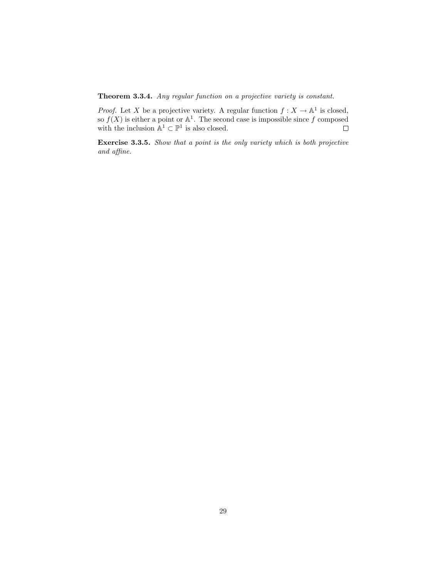Theorem 3.3.4. Any regular function on a projective variety is constant.

*Proof.* Let X be a projective variety. A regular function  $f: X \to \mathbb{A}^1$  is closed, so  $f(X)$  is either a point or  $\mathbb{A}^1$ . The second case is impossible since f composed with the inclusion  $\mathbb{A}^1 \subset \mathbb{P}^1$  is also closed.

Exercise 3.3.5. Show that a point is the only variety which is both projective and affine.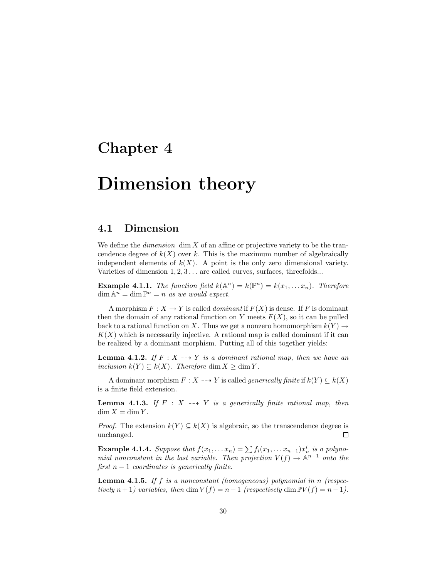## <span id="page-30-0"></span>Chapter 4

# Dimension theory

#### <span id="page-30-1"></span>4.1 Dimension

We define the *dimension* dim  $X$  of an affine or projective variety to be the trancendence degree of  $k(X)$  over k. This is the maximum number of algebraically independent elements of  $k(X)$ . A point is the only zero dimensional variety. Varieties of dimension  $1, 2, 3, \ldots$  are called curves, surfaces, threefolds...

**Example 4.1.1.** The function field  $k(\mathbb{A}^n) = k(\mathbb{P}^n) = k(x_1, \ldots, x_n)$ . Therefore  $\dim \mathbb{A}^n = \dim \mathbb{P}^n = n$  as we would expect.

A morphism  $F: X \to Y$  is called *dominant* if  $F(X)$  is dense. If F is dominant then the domain of any rational function on Y meets  $F(X)$ , so it can be pulled back to a rational function on X. Thus we get a nonzero homomorphism  $k(Y) \rightarrow$  $K(X)$  which is necessarily injective. A rational map is called dominant if it can be realized by a dominant morphism. Putting all of this together yields:

**Lemma 4.1.2.** If  $F: X \rightarrow Y$  is a dominant rational map, then we have an inclusion  $k(Y) \subseteq k(X)$ . Therefore dim  $X \geq \dim Y$ .

A dominant morphism  $F: X \dashrightarrow Y$  is called *generically finite* if  $k(Y) \subseteq k(X)$ is a finite field extension.

**Lemma 4.1.3.** If  $F : X \dashrightarrow Y$  is a generically finite rational map, then  $\dim X = \dim Y$ .

*Proof.* The extension  $k(Y) \subseteq k(X)$  is algebraic, so the transcendence degree is unchanged.  $\Box$ 

**Example 4.1.4.** Suppose that  $f(x_1, \ldots, x_n) = \sum f_i(x_1, \ldots, x_{n-1}) x_n^i$  is a polynomial nonconstant in the last variable. Then projection  $V(f) \to \mathbb{A}^{n-1}$  onto the first  $n - 1$  coordinates is generically finite.

**Lemma 4.1.5.** If  $f$  is a nonconstant (homogeneous) polynomial in  $n$  (respectively  $n+1$ ) variables, then dim  $V(f) = n-1$  (respectively dim  $\mathbb{P}V(f) = n-1$ ).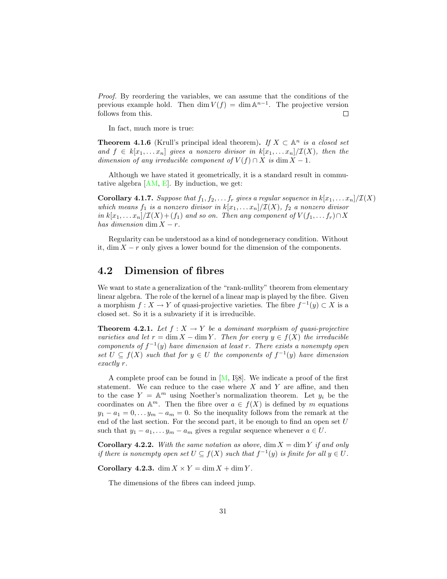Proof. By reordering the variables, we can assume that the conditions of the previous example hold. Then  $\dim V(f) = \dim \mathbb{A}^{n-1}$ . The projective version follows from this.  $\Box$ 

In fact, much more is true:

**Theorem 4.1.6** (Krull's principal ideal theorem). If  $X \subset \mathbb{A}^n$  is a closed set and  $f \in k[x_1, \ldots x_n]$  gives a nonzero divisor in  $k[x_1, \ldots x_n]/\mathcal{I}(X)$ , then the dimension of any irreducible component of  $V(f) \cap X$  is dim  $X - 1$ .

Although we have stated it geometrically, it is a standard result in commutative algebra  $[AM, E]$  $[AM, E]$ . By induction, we get:

**Corollary 4.1.7.** Suppose that  $f_1, f_2, \ldots, f_r$  gives a regular sequence in  $k[x_1, \ldots x_n]/\mathcal{I}(X)$ which means  $f_1$  is a nonzero divisor in  $k[x_1, \ldots x_n]/\mathcal{I}(X)$ ,  $f_2$  a nonzero divisor in  $k[x_1, \ldots x_n]/\mathcal{I}(X)+(f_1)$  and so on. Then any component of  $V(f_1, \ldots f_r) \cap X$ has dimension dim  $X - r$ .

Regularity can be understood as a kind of nondegeneracy condition. Without it, dim  $X - r$  only gives a lower bound for the dimension of the components.

#### <span id="page-31-0"></span>4.2 Dimension of fibres

We want to state a generalization of the "rank-nullity" theorem from elementary linear algebra. The role of the kernel of a linear map is played by the fibre. Given a morphism  $f: X \to Y$  of quasi-projective varieties. The fibre  $f^{-1}(y) \subset X$  is a closed set. So it is a subvariety if it is irreducible.

**Theorem 4.2.1.** Let  $f : X \to Y$  be a dominant morphism of quasi-projective varieties and let  $r = \dim X - \dim Y$ . Then for every  $y \in f(X)$  the irreducible components of  $f^{-1}(y)$  have dimension at least r. There exists a nonempty open set  $U \subseteq f(X)$  such that for  $y \in U$  the components of  $f^{-1}(y)$  have dimension exactly r.

A complete proof can be found in  $[M, I\S8]$ . We indicate a proof of the first statement. We can reduce to the case where  $X$  and  $Y$  are affine, and then to the case  $Y = \mathbb{A}^m$  using Noether's normalization theorem. Let  $y_i$  be the coordinates on  $\mathbb{A}^m$ . Then the fibre over  $a \in f(X)$  is defined by m equations  $y_1 - a_1 = 0, \ldots, y_m - a_m = 0$ . So the inequality follows from the remark at the end of the last section. For the second part, it be enough to find an open set  $U$ such that  $y_1 - a_1, \ldots, y_m - a_m$  gives a regular sequence whenever  $a \in U$ .

**Corollary 4.2.2.** With the same notation as above,  $\dim X = \dim Y$  if and only if there is nonempty open set  $U \subseteq f(X)$  such that  $f^{-1}(y)$  is finite for all  $y \in U$ .

Corollary 4.2.3.  $\dim X \times Y = \dim X + \dim Y$ .

The dimensions of the fibres can indeed jump.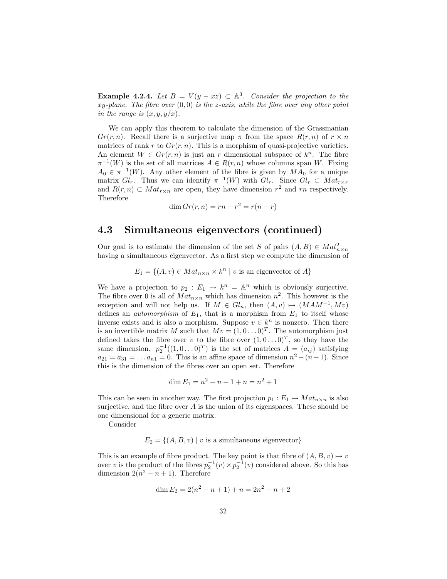**Example 4.2.4.** Let  $B = V(y - xz) \subset \mathbb{A}^3$ . Consider the projection to the xy-plane. The fibre over  $(0,0)$  is the z-axis, while the fibre over any other point in the range is  $(x, y, y/x)$ .

We can apply this theorem to calculate the dimension of the Grassmanian  $Gr(r, n)$ . Recall there is a surjective map  $\pi$  from the space  $R(r, n)$  of  $r \times n$ matrices of rank r to  $Gr(r, n)$ . This is a morphism of quasi-projective varieties. An element  $W \in Gr(r, n)$  is just an r dimensional subspace of  $k<sup>n</sup>$ . The fibre  $\pi^{-1}(W)$  is the set of all matrices  $A \in R(r, n)$  whose columns span W. Fixing  $A_0 \in \pi^{-1}(W)$ . Any other element of the fibre is given by  $MA_0$  for a unique matrix  $Gl_r$ . Thus we can identify  $\pi^{-1}(W)$  with  $Gl_r$ . Since  $Gl_r \subset Mat_{r \times r}$ and  $R(r, n) \subset Mat_{r \times n}$  are open, they have dimension  $r^2$  and  $rn$  respectively. Therefore

$$
\dim Gr(r, n) = rn - r^2 = r(n - r)
$$

### <span id="page-32-0"></span>4.3 Simultaneous eigenvectors (continued)

Our goal is to estimate the dimension of the set S of pairs  $(A, B) \in Mat_{n \times n}^2$ having a simultaneous eigenvector. As a first step we compute the dimension of

 $E_1 = \{(A, v) \in Mat_{n \times n} \times k^n \mid v \text{ is an eigenvector of } A\}$ 

We have a projection to  $p_2 : E_1 \to k^n = \mathbb{A}^n$  which is obviously surjective. The fibre over 0 is all of  $Mat_{n\times n}$  which has dimension  $n^2$ . This however is the exception and will not help us. If  $M \in Gl_n$ , then  $(A, v) \mapsto (MAM^{-1}, Mv)$ defines an *automorphism* of  $E_1$ , that is a morphism from  $E_1$  to itself whose inverse exists and is also a morphism. Suppose  $v \in k^n$  is nonzero. Then there is an invertible matrix M such that  $Mv = (1, 0...0)^T$ . The automorphism just defined takes the fibre over v to the fibre over  $(1, 0 \ldots 0)^T$ , so they have the same dimension.  $p_2^{-1}((1,0...0)^T)$  is the set of matrices  $A = (a_{ij})$  satisfying  $a_{21} = a_{31} = \dots a_{n1} = 0$ . This is an affine space of dimension  $n^2 - (n-1)$ . Since this is the dimension of the fibres over an open set. Therefore

$$
\dim E_1 = n^2 - n + 1 + n = n^2 + 1
$$

This can be seen in another way. The first projection  $p_1 : E_1 \to Mat_{n \times n}$  is also surjective, and the fibre over  $A$  is the union of its eigenspaces. These should be one dimensional for a generic matrix.

Consider

$$
E_2 = \{(A, B, v) \mid v \text{ is a simultaneous eigenvector}\}
$$

This is an example of fibre product. The key point is that fibre of  $(A, B, v) \mapsto v$ over v is the product of the fibres  $p_2^{-1}(v) \times p_2^{-1}(v)$  considered above. So this has dimension  $2(n^2 - n + 1)$ . Therefore

$$
\dim E_2 = 2(n^2 - n + 1) + n = 2n^2 - n + 2
$$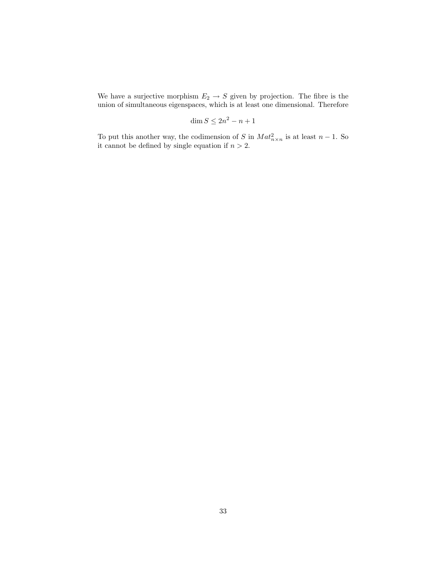We have a surjective morphism  $E_2 \rightarrow S$  given by projection. The fibre is the union of simultaneous eigenspaces, which is at least one dimensional. Therefore

$$
\dim S \le 2n^2 - n + 1
$$

To put this another way, the codimension of S in  $Mat_{n\times n}^2$  is at least  $n-1$ . So it cannot be defined by single equation if  $n > 2$ .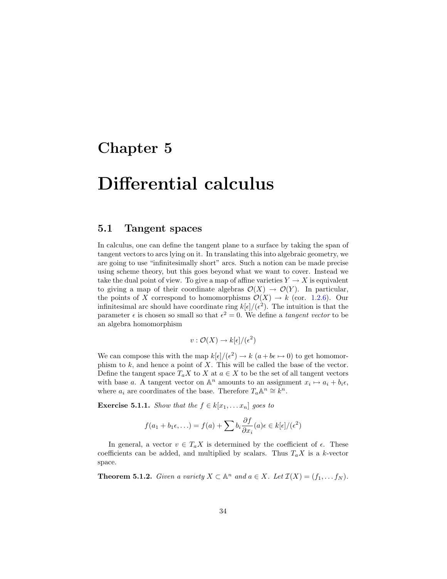## <span id="page-34-0"></span>Chapter 5

# Differential calculus

#### <span id="page-34-1"></span>5.1 Tangent spaces

In calculus, one can define the tangent plane to a surface by taking the span of tangent vectors to arcs lying on it. In translating this into algebraic geometry, we are going to use "infinitesimally short" arcs. Such a notion can be made precise using scheme theory, but this goes beyond what we want to cover. Instead we take the dual point of view. To give a map of affine varieties  $Y \to X$  is equivalent to giving a map of their coordinate algebras  $\mathcal{O}(X) \to \mathcal{O}(Y)$ . In particular, the points of X correspond to homomorphisms  $\mathcal{O}(X) \to k$  (cor. [1.2.6\)](#page-7-2). Our infinitesimal arc should have coordinate ring  $k[\epsilon]/(\epsilon^2)$ . The intuition is that the parameter  $\epsilon$  is chosen so small so that  $\epsilon^2 = 0$ . We define a *tangent vector* to be an algebra homomorphism

$$
v: \mathcal{O}(X) \to k[\epsilon]/(\epsilon^2)
$$

We can compose this with the map  $k[\epsilon]/(\epsilon^2) \to k(a + b\epsilon \mapsto 0)$  to get homomorphism to  $k$ , and hence a point of  $X$ . This will be called the base of the vector. Define the tangent space  $T_a X$  to X at  $a \in X$  to be the set of all tangent vectors with base a. A tangent vector on  $\mathbb{A}^n$  amounts to an assignment  $x_i \mapsto a_i + b_i \epsilon$ , where  $a_i$  are coordinates of the base. Therefore  $T_a \mathbb{A}^n \cong \mathbb{R}^n$ .

**Exercise 5.1.1.** Show that the  $f \in k[x_1, \ldots x_n]$  goes to

$$
f(a_1 + b_1\epsilon, \ldots) = f(a) + \sum b_i \frac{\partial f}{\partial x_i}(a) \epsilon \in k[\epsilon]/(\epsilon^2)
$$

In general, a vector  $v \in T_a X$  is determined by the coefficient of  $\epsilon$ . These coefficients can be added, and multiplied by scalars. Thus  $T_a X$  is a k-vector space.

**Theorem 5.1.2.** Given a variety  $X \subset \mathbb{A}^n$  and  $a \in X$ . Let  $\mathcal{I}(X) = (f_1, \ldots, f_N)$ .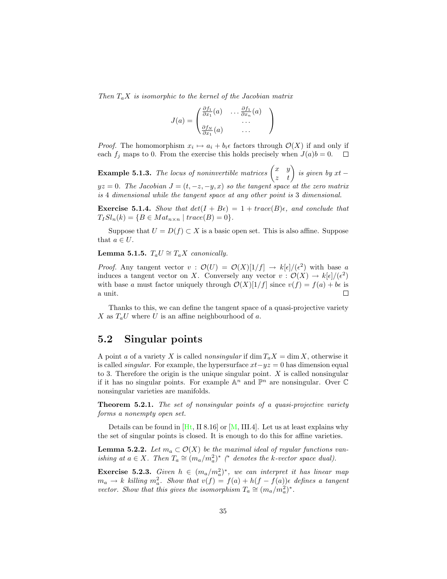Then  $T_a X$  is isomorphic to the kernel of the Jacobian matrix

$$
J(a) = \begin{pmatrix} \frac{\partial f_1}{\partial x_1}(a) & \dots & \frac{\partial f_1}{\partial x_n}(a) \\ \dots & \dots & \dots \\ \frac{\partial f_N}{\partial x_1}(a) & \dots & \dots \end{pmatrix}
$$

*Proof.* The homomorphism  $x_i \mapsto a_i + b_i \epsilon$  factors through  $\mathcal{O}(X)$  if and only if each  $f_j$  maps to 0. From the exercise this holds precisely when  $J(a)b = 0$ .  $\Box$ 

**Example 5.1.3.** The locus of noninvertible matrices  $\begin{pmatrix} x & y \\ z & t \end{pmatrix}$  is given by  $xt$  –  $yz = 0$ . The Jacobian  $J = (t, -z, -y, x)$  so the tangent space at the zero matrix is 4 dimensional while the tangent space at any other point is 3 dimensional.

**Exercise 5.1.4.** Show that  $det(I + B\epsilon) = 1 + trace(B)\epsilon$ , and conclude that  $T_I Sl_n(k) = \{B \in Mat_{n \times n} \mid trace(B) = 0\}.$ 

Suppose that  $U = D(f) \subset X$  is a basic open set. This is also affine. Suppose that  $a \in U$ .

#### Lemma 5.1.5.  $T_a U \cong T_a X$  canonically.

*Proof.* Any tangent vector  $v : \mathcal{O}(U) = \mathcal{O}(X)[1/f] \to k[\epsilon]/(\epsilon^2)$  with base a induces a tangent vector on X. Conversely any vector  $v : \mathcal{O}(X) \to k[\epsilon]/(\epsilon^2)$ with base a must factor uniquely through  $\mathcal{O}(X)[1/f]$  since  $v(f) = f(a) + b\epsilon$  is a unit.  $\Box$ 

Thanks to this, we can define the tangent space of a quasi-projective variety X as  $T_a U$  where U is an affine neighbourhood of a.

#### <span id="page-35-0"></span>5.2 Singular points

A point a of a variety X is called nonsingular if  $\dim T_aX = \dim X$ , otherwise it is called *singular*. For example, the hypersurface  $xt -yz = 0$  has dimension equal to 3. Therefore the origin is the unique singular point.  $X$  is called nonsingular if it has no singular points. For example  $\mathbb{A}^n$  and  $\mathbb{P}^n$  are nonsingular. Over  $\mathbb C$ nonsingular varieties are manifolds.

**Theorem 5.2.1.** The set of nonsingular points of a quasi-projective variety forms a nonempty open set.

Details can be found in  $[Ht, II 8.16]$  or  $[M, III.4]$ . Let us at least explains why the set of singular points is closed. It is enough to do this for affine varieties.

**Lemma 5.2.2.** Let  $m_a \subset \mathcal{O}(X)$  be the maximal ideal of regular functions vanishing at  $a \in X$ . Then  $T_a \cong (m_a/m_a^2)^*$  (\* denotes the k-vector space dual).

**Exercise 5.2.3.** Given  $h \in (m_a/m_a^2)^*$ , we can interpret it has linear map  $m_a \to k$  killing  $m_a^2$ . Show that  $v(f) = f(a) + h(f - f(a))\epsilon$  defines a tangent vector. Show that this gives the isomorphism  $T_a \cong (m_a/m_a^2)^*$ .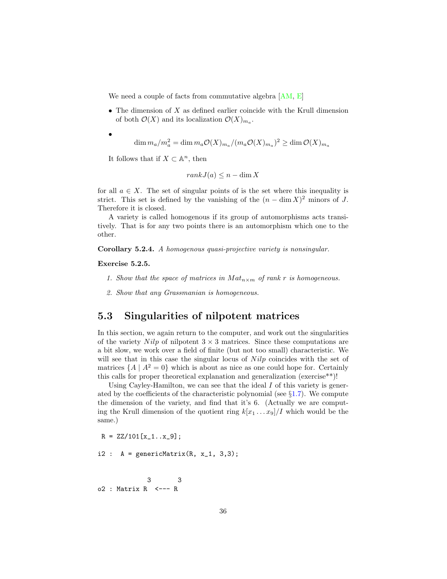We need a couple of facts from commutative algebra  $[AM, E]$  $[AM, E]$ 

- The dimension of  $X$  as defined earlier coincide with the Krull dimension of both  $\mathcal{O}(X)$  and its localization  $\mathcal{O}(X)_{m_a}$ .
	- $\dim m_a/m_a^2 = \dim m_a \mathcal{O}(X)_{m_a}/(m_a \mathcal{O}(X)_{m_a})^2 \geq \dim \mathcal{O}(X)_{m_a}$

It follows that if  $X \subset \mathbb{A}^n$ , then

$$
rank J(a) \le n - \dim X
$$

for all  $a \in X$ . The set of singular points of is the set where this inequality is strict. This set is defined by the vanishing of the  $(n - \dim X)^2$  minors of J. Therefore it is closed.

A variety is called homogenous if its group of automorphisms acts transitively. That is for any two points there is an automorphism which one to the other.

Corollary 5.2.4. A homogenous quasi-projective variety is nonsingular.

Exercise 5.2.5.

•

- 1. Show that the space of matrices in  $Mat_{n\times m}$  of rank r is homogeneous.
- 2. Show that any Grassmanian is homogeneous.

### <span id="page-36-0"></span>5.3 Singularities of nilpotent matrices

In this section, we again return to the computer, and work out the singularities of the variety Nilp of nilpotent  $3 \times 3$  matrices. Since these computations are a bit slow, we work over a field of finite (but not too small) characteristic. We will see that in this case the singular locus of  $Nilp$  coincides with the set of matrices  $\{A \mid A^2 = 0\}$  which is about as nice as one could hope for. Certainly this calls for proper theoretical explanation and generalization (exercise\*\*)!

Using Cayley-Hamilton, we can see that the ideal  $I$  of this variety is generated by the coefficients of the characteristic polynomial (see  $\S1.7$ ). We compute the dimension of the variety, and find that it's 6. (Actually we are computing the Krull dimension of the quotient ring  $k[x_1 \ldots x_9]/I$  which would be the same.)

 $R = ZZ/101[x_1...x_9];$ 

 $i2$  :  $A = genericMatrix(R, x_1, 3, 3);$ 

3 3 o2 : Matrix R <--- R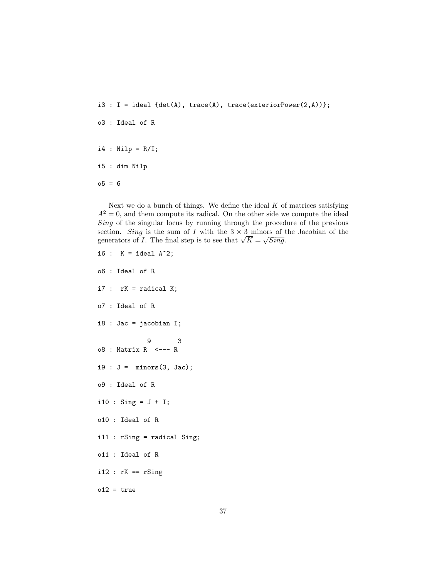$i3 : I = ideal$  {det(A), trace(A), trace(exteriorPower(2,A))}; o3 : Ideal of R  $i4$  : Nilp = R/I; i5 : dim Nilp  $-5 = 6$ 

Next we do a bunch of things. We define the ideal  $K$  of matrices satisfying  $A<sup>2</sup> = 0$ , and them compute its radical. On the other side we compute the ideal Sing of the singular locus by running through the procedure of the previous section. Sing is the sum of I with the  $3 \times 3$  minors of the Jacobian of the section. Sing is the sum of I with the  $3 \times 3$  minors of t<br>generators of I. The final step is to see that  $\sqrt{K} = \sqrt{Sing}$ .

```
i6 : K = ideal A^2;
o6 : Ideal of R
i7 : rK = radical K;
o7 : Ideal of R
i8 : Jac = jacobian I;
            9 3
o8 : Matrix R <--- R
i9 : J = minors(3, Jac);o9 : Ideal of R
i10 : Sing = J + I;o10 : Ideal of R
i11 : rSing = radical Sing;
o11 : Ideal of R
i12 : rK == rSingo12 = true
```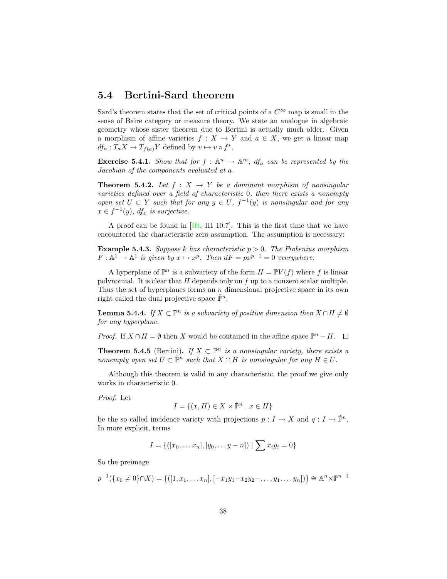#### <span id="page-38-0"></span>5.4 Bertini-Sard theorem

Sard's theorem states that the set of critical points of a  $C^{\infty}$  map is small in the sense of Baire category or measure theory. We state an analogue in algebraic geometry whose sister theorem due to Bertini is actually much older. Given a morphism of affine varieties  $f : X \to Y$  and  $a \in X$ , we get a linear map  $df_a: T_a X \to T_{f(a)} Y$  defined by  $v \mapsto v \circ f^*$ .

**Exercise 5.4.1.** Show that for  $f : \mathbb{A}^n \to \mathbb{A}^m$ ,  $df_a$  can be represented by the Jacobian of the components evaluated at a.

<span id="page-38-1"></span>**Theorem 5.4.2.** Let  $f : X \rightarrow Y$  be a dominant morphism of nonsingular varieties defined over a field of characteristic 0, then there exists a nonempty open set  $U \subset Y$  such that for any  $y \in U$ ,  $f^{-1}(y)$  is nonsingular and for any  $x \in f^{-1}(y)$ , df<sub>x</sub> is surjective.

A proof can be found in  $[Ht, III 10.7]$ . This is the first time that we have encountered the characteristic zero assumption. The assumption is necessary:

**Example 5.4.3.** Suppose k has characteristic  $p > 0$ . The Frobenius morphism  $F: \mathbb{A}^1 \to \mathbb{A}^1$  is given by  $x \mapsto x^p$ . Then  $dF = px^{p-1} = 0$  everywhere.

A hyperplane of  $\mathbb{P}^n$  is a subvariety of the form  $H = \mathbb{P}V(f)$  where f is linear polynomial. It is clear that  $H$  depends only on  $f$  up to a nonzero scalar multiple. Thus the set of hyperplanes forms an  $n$  dimensional projective space in its own right called the dual projective space  $\mathbb{P}^n$ .

**Lemma 5.4.4.** If  $X \subset \mathbb{P}^n$  is a subvariety of positive dimension then  $X \cap H \neq \emptyset$ for any hyperplane.

*Proof.* If  $X \cap H = \emptyset$  then X would be contained in the affine space  $\mathbb{P}^n - H$ .

**Theorem 5.4.5** (Bertini). If  $X \subset \mathbb{P}^n$  is a nonsingular variety, there exists a nonempty open set  $U \subset \check{\mathbb{P}}^n$  such that  $X \cap H$  is nonsingular for any  $H \in U$ .

Although this theorem is valid in any characteristic, the proof we give only works in characteristic 0.

Proof. Let

$$
I = \{(x, H) \in X \times \check{\mathbb{P}}^n \mid x \in H\}
$$

be the so called incidence variety with projections  $p: I \to X$  and  $q: I \to \check{\mathbb{P}}^n$ . In more explicit, terms

$$
I = \{([x_0, \dots x_n], [y_0, \dots y - n]) \mid \sum x_i y_i = 0\}
$$

So the preimage

$$
p^{-1}(\lbrace x_0 \neq 0 \rbrace \cap X) = \{ ([1, x_1, \dots, x_n], [-x_1y_1 - x_2y_2 - \dots, y_1, \dots, y_n]) \rbrace \cong \mathbb{A}^n \times \mathbb{P}^{n-1}
$$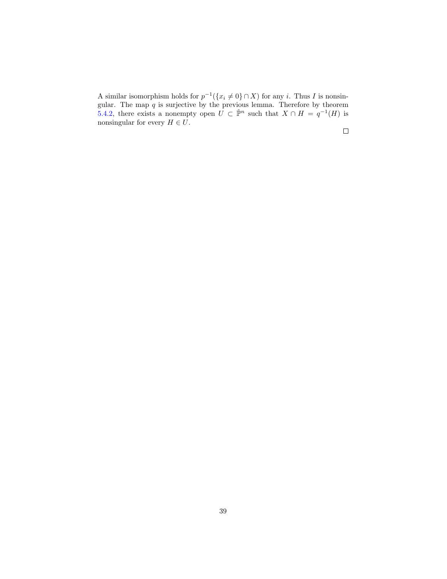A similar isomorphism holds for  $p^{-1}(\lbrace x_i \neq 0 \rbrace \cap X)$  for any i. Thus I is nonsingular. The map  $q$  is surjective by the previous lemma. Therefore by theorem [5.4.2,](#page-38-1) there exists a nonempty open  $\overline{U} \subset \check{\mathbb{P}}^n$  such that  $X \cap H = q^{-1}(H)$  is nonsingular for every  $H \in U$ .